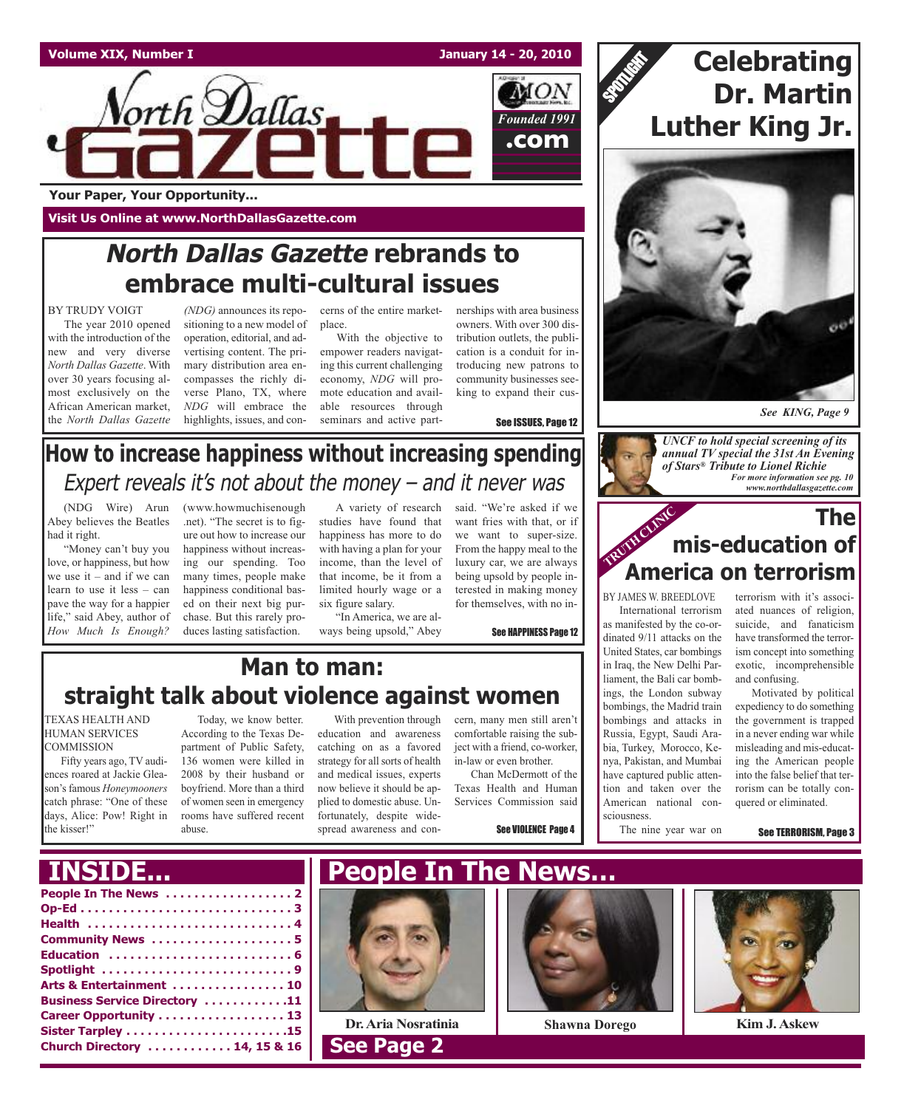

**Your Paper, Your Opportunity...**

**Visit Us Online at www.NorthDallasGazette.com**

### **North Dallas Gazette rebrands to embrace multi-cultural issues**

#### BY TRUDY VOIGT

The year 2010 opened with the introduction of the new and very diverse *North Dallas Gazette*. With over 30 years focusing almost exclusively on the African American market, the *North Dallas Gazette*

*(NDG)* announces its repositioning to a new model of operation, editorial, and advertising content. The primary distribution area encompasses the richly diverse Plano, TX, where *NDG* will embrace the highlights, issues, and con-

cerns of the entire marketplace.

With the objective to empower readers navigating this current challenging economy, *NDG* will promote education and available resources through seminars and active partnerships with area business owners. With over 300 distribution outlets, the publication is a conduit for introducing new patrons to community businesses seeking to expand their cus-

want fries with that, or if we want to super-size. From the happy meal to the luxury car, we are always being upsold by people interested in making money

See ISSUES, Page 12

### **How to increase happiness without increasing spending** Expert reveals it's not about the money  $-$  and it never was

(NDG Wire) Arun Abey believes the Beatles had it right.

"Money can't buy you love, or happiness, but how we use it – and if we can learn to use it less – can pave the way for a happier life," said Abey, author of *How Much Is Enough?* (www.howmuchisenough .net). "The secret is to figure out how to increase our happiness without increasing our spending. Too many times, people make happiness conditional based on their next big purchase. But this rarely produces lasting satisfaction.

A variety of research said. "We're asked if we studies have found that happiness has more to do with having a plan for your income, than the level of that income, be it from a limited hourly wage or a six figure salary.

"In America, we are always being upsold," Abey See HAPPINESS Page 12

### **Man to man: straight talk about violence against women**

TEXAS HEALTH AND HUMAN SERVICES **COMMISSION** 

Fifty years ago, TV audiences roared at Jackie Gleason's famous *Honeymooners* catch phrase: "One of these days, Alice: Pow! Right in the kisser!"

Today, we know better. According to the Texas Department of Public Safety, 136 women were killed in 2008 by their husband or boyfriend. More than a third of women seen in emergency rooms have suffered recent abuse.

With prevention through education and awareness catching on as a favored strategy for all sorts of health and medical issues, experts now believe it should be applied to domestic abuse. Unfortunately, despite widespread awareness and con-

cern, many men still aren't comfortable raising the subject with a friend, co-worker, in-law or even brother. Chan McDermott of the

Texas Health and Human Services Commission said

See VIOLENCE Page 4

### **Celebrating Dr. Martin Luther King Jr.**

SPOTLIGHT



*See KING, Page 9*



### **TRUNK** CLINIC **The mis-education of America on terrorism**

for themselves, with no in-<br>BY JAMES W. BREEDLOVE

International terrorism as manifested by the co-ordinated 9/11 attacks on the United States, car bombings in Iraq, the New Delhi Parliament, the Bali car bombings, the London subway bombings, the Madrid train bombings and attacks in Russia, Egypt, Saudi Arabia, Turkey, Morocco, Kenya, Pakistan, and Mumbai have captured public attention and taken over the American national consciousness.

The nine year war on

terrorism with it's associated nuances of religion, suicide, and fanaticism have transformed the terrorism concept into something exotic, incomprehensible and confusing.

Motivated by political expediency to do something the government is trapped in a never ending war while misleading and mis-educating the American people into the false belief that terrorism can be totally conquered or eliminated.

See TERRORISM, Page 3

| ______________                       |
|--------------------------------------|
|                                      |
|                                      |
|                                      |
| Community News  5                    |
|                                      |
| Spotlight 9                          |
| Arts & Entertainment  10             |
| <b>Business Service Directory 11</b> |
| Career Opportunity 13                |
|                                      |
| Church Directory  14, 15 & 16        |
|                                      |





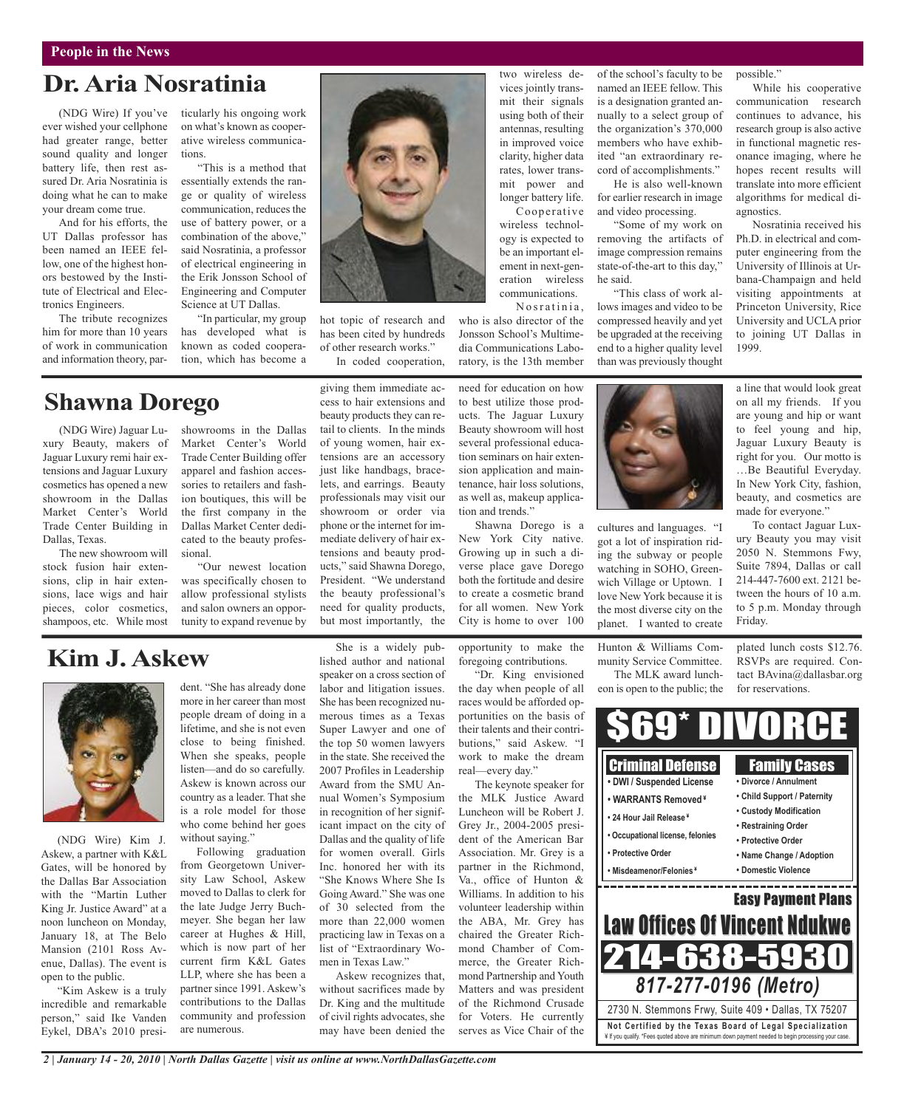### **Dr.Aria Nosratinia**

(NDG Wire) If you've ever wished your cellphone had greater range, better sound quality and longer battery life, then rest assured Dr. Aria Nosratinia is doing what he can to make your dream come true.

And for his efforts, the UT Dallas professor has been named an IEEE fellow, one of the highest honors bestowed by the Institute of Electrical and Electronics Engineers.

The tribute recognizes him for more than 10 years of work in communication and information theory, particularly his ongoing work on what's known as cooperative wireless communications.

"This is a method that essentially extends the range or quality of wireless communication, reduces the use of battery power, or a combination of the above," said Nosratinia, a professor of electrical engineering in the Erik Jonsson School of Engineering and Computer Science at UT Dallas.

"In particular, my group has developed what is known as coded cooperation, which has become a

### **Shawna Dorego**

(NDG Wire) Jaguar Luxury Beauty, makers of Jaguar Luxury remi hair extensions and Jaguar Luxury cosmetics has opened a new showroom in the Dallas Market Center's World Trade Center Building in Dallas, Texas.

The new showroom will stock fusion hair extensions, clip in hair extensions, lace wigs and hair pieces, color cosmetics, shampoos, etc. While most

showrooms in the Dallas Market Center's World Trade Center Building offer apparel and fashion accessories to retailers and fashion boutiques, this will be the first company in the Dallas Market Center dedicated to the beauty professional.

"Our newest location was specifically chosen to allow professional stylists and salon owners an opportunity to expand revenue by

### **Kim J.Askew**



(NDG Wire) Kim J. Askew, a partner with K&L Gates, will be honored by the Dallas Bar Association with the "Martin Luther King Jr. Justice Award" at a noon luncheon on Monday, January 18, at The Belo Mansion (2101 Ross Avenue, Dallas). The event is open to the public.

"Kim Askew is a truly incredible and remarkable person," said Ike Vanden Eykel, DBA's 2010 president. "She has already done more in her career than most people dream of doing in a lifetime, and she is not even close to being finished. When she speaks, people listen—and do so carefully. Askew is known across our country as a leader. That she is a role model for those who come behind her goes without saying."

Following graduation from Georgetown University Law School, Askew moved to Dallas to clerk for the late Judge Jerry Buchmeyer. She began her law career at Hughes & Hill, which is now part of her current firm K&L Gates LLP, where she has been a partner since 1991. Askew's contributions to the Dallas community and profession are numerous.

*2 | January 14 - 20, 2010 | North Dallas Gazette | visit us online at www.NorthDallasGazette.com*

She is a widely published author and national speaker on a cross section of labor and litigation issues. She has been recognized numerous times as a Texas Super Lawyer and one of the top 50 women lawyers in the state. She received the 2007 Profiles in Leadership Award from the SMU Annual Women's Symposium in recognition of her significant impact on the city of Dallas and the quality of life for women overall. Girls Inc. honored her with its "She Knows Where She Is Going Award." She was one of 30 selected from the more than 22,000 women practicing law in Texas on a list of "Extraordinary Women in Texas Law."

Askew recognizes that, without sacrifices made by Dr. King and the multitude of civil rights advocates, she may have been denied the

two wireless devices jointly transmit their signals using both of their antennas, resulting in improved voice clarity, higher data rates, lower transmit power and longer battery life. ement in next-generation wireless communications.

hot topic of research and has been cited by hundreds of other research works."

In coded cooperation, ratory, is the 13th member

giving them immediate access to hair extensions and beauty products they can retail to clients. In the minds of young women, hair extensions are an accessory just like handbags, bracelets, and earrings. Beauty professionals may visit our showroom or order via phone or the internet for immediate delivery of hair extensions and beauty products," said Shawna Dorego, President. "We understand the beauty professional's need for quality products, but most importantly, the

opportunity to make the City is home to over 100

tion and trends."

foregoing contributions. "Dr. King envisioned the day when people of all races would be afforded opportunities on the basis of their talents and their contributions," said Askew. "I work to make the dream real—every day."

The keynote speaker for the MLK Justice Award Luncheon will be Robert J. Grey Jr., 2004-2005 president of the American Bar Association. Mr. Grey is a partner in the Richmond, Va., office of Hunton & Williams. In addition to his volunteer leadership within the ABA, Mr. Grey has chaired the Greater Richmond Chamber of Commerce, the Greater Richmond Partnership and Youth Matters and was president of the Richmond Crusade for Voters. He currently serves as Vice Chair of the

of the school's faculty to be named an IEEE fellow. This is a designation granted annually to a select group of the organization's 370,000 members who have exhibited "an extraordinary record of accomplishments."

He is also well-known for earlier research in image and video processing.

"Some of my work on removing the artifacts of image compression remains state-of-the-art to this day," he said.

lows images and video to be compressed heavily and yet be upgraded at the receiving end to a higher quality level than was previously thought



cultures and languages. "I got a lot of inspiration riding the subway or people watching in SOHO, Greenwich Village or Uptown. I love New York because it is the most diverse city on the planet. I wanted to create

Hunton & Williams Community Service Committee.

The MLK award luncheon is open to the public; the

plated lunch costs \$12.76. RSVPs are required. Contact BAvina@dallasbar.org for reservations.

Friday.



wireless technology is expected to be an important el-

Cooperative

Nosratinia.

who is also director of the Jonsson School's Multimedia Communications Labo-

need for education on how to best utilize those products. The Jaguar Luxury Beauty showroom will host several professional education seminars on hair extension application and maintenance, hair loss solutions, as well as, makeup applica-

Shawna Dorego is a New York City native. Growing up in such a diverse place gave Dorego both the fortitude and desire to create a cosmetic brand for all women. New York "This class of work al-

possible." While his cooperative communication research continues to advance, his research group is also active in functional magnetic resonance imaging, where he hopes recent results will translate into more efficient algorithms for medical diagnostics.

Nosratinia received his Ph.D. in electrical and computer engineering from the University of Illinois at Urbana-Champaign and held visiting appointments at Princeton University, Rice University and UCLA prior to joining UT Dallas in 1999.

a line that would look great on all my friends. If you are young and hip or want to feel young and hip, Jaguar Luxury Beauty is right for you. Our motto is …Be Beautiful Everyday. In New York City, fashion, beauty, and cosmetics are made for everyone."

To contact Jaguar Luxury Beauty you may visit 2050 N. Stemmons Fwy, Suite 7894, Dallas or call 214-447-7600 ext. 2121 between the hours of 10 a.m. to 5 p.m. Monday through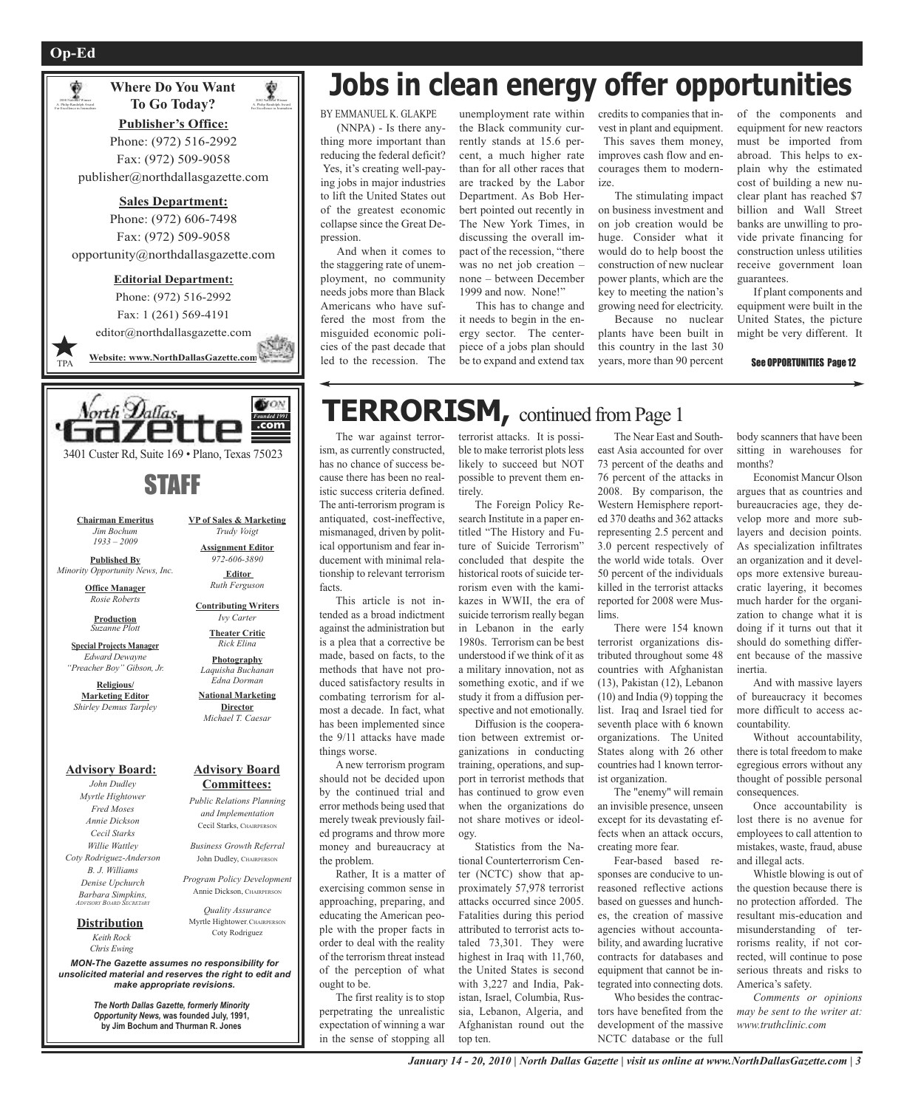₩



**Publisher's Office:** Phone: (972) 516-2992 Fax: (972) 509-9058 publisher@northdallasgazette.com

2002 National Winner A. Philip Randolph Award For Excellence in Journalism

#### **Sales Department:**

Phone: (972) 606-7498 Fax: (972) 509-9058 opportunity@northdallasgazette.com

#### **Editorial Department:**

Phone: (972) 516-2992 Fax: 1 (261) 569-4191 editor@northdallasgazette.com S. A **Website: www.NorthDallasGazette.com** TPA



3401 Custer Rd, Suite 169 • Plano, Texas 75023

### STAFF

**Chairman Emeritus** *Jim Bochum 1933 – 2009*

**Published By** *Minority Opportunity News, Inc.*

> **Office Manager** *Rosie Roberts*

> > **Production** *Suzanne Plott*

**Special Projects Manager** *Edward Dewayne "Preacher Boy" Gibson, Jr.*

**Religious/ Marketing Editor** *Shirley Demus Tarpley*

**Advisory Board:**

*John Dudley Myrtle Hightower Fred Moses Annie Dickson Cecil Starks Willie Wattley Coty Rodriguez-Anderson B. J. Williams Denise Upchurch Barbara Simpkins, ADVISORY BOARD SECRETARY*

> *Keith Rock* **Distribution**

*Chris Ewing*

*MON-The Gazette assumes no responsibility for unsolicited material and reserves the right to edit and make appropriate revisions.*

**Advisory Board Committees:**

*Public Relations Planning and Implementation* Cecil Starks, CHAIRPERSON *Business Growth Referral* John Dudley, CHAIRPERSON *Program Policy Development* Annie Dickson, CHAIRPERSO *Quality Assurance* Myrtle Hightower, CHAIRPERSON Coty Rodriguez

**VP of Sales & Marketing** *Trudy Voigt* **Assignment Editor** *972-606-3890* **Editor** *Ruth Ferguson* **Contributing Writers** *Ivy Carter* **Theater Critic** *Rick Elina* **Photography** *Laquisha Buchanan Edna Dorman* **National Marketing Director** *Michael T. Caesar*

*The North Dallas Gazette, formerly Minority Opportunity News,* **was founded July, 1991, by Jim Bochum and Thurman R. Jones**

# **Jobs in clean energy offer opportunities**

BY EMMANUEL K. GLAKPE (NNPA) - Is there anything more important than reducing the federal deficit? Yes, it's creating well-paying jobs in major industries to lift the United States out of the greatest economic collapse since the Great Depression.

And when it comes to the staggering rate of unemployment, no community needs jobs more than Black Americans who have suffered the most from the misguided economic policies of the past decade that led to the recession. The

unemployment rate within the Black community currently stands at 15.6 percent, a much higher rate than for all other races that are tracked by the Labor Department. As Bob Herbert pointed out recently in The New York Times, in discussing the overall impact of the recession, "there was no net job creation – none – between December 1999 and now. None!"

This has to change and it needs to begin in the energy sector. The centerpiece of a jobs plan should be to expand and extend tax credits to companies that invest in plant and equipment. This saves them money, improves cash flow and encourages them to modernize.

The stimulating impact on business investment and on job creation would be huge. Consider what it would do to help boost the construction of new nuclear power plants, which are the key to meeting the nation's growing need for electricity.

Because no nuclear plants have been built in this country in the last 30 years, more than 90 percent of the components and equipment for new reactors must be imported from abroad. This helps to explain why the estimated cost of building a new nuclear plant has reached \$7 billion and Wall Street banks are unwilling to provide private financing for construction unless utilities receive government loan guarantees.

If plant components and equipment were built in the United States, the picture might be very different. It

#### See OPPORTUNITIES Page 12

### **TERRORISM,** continued fromPage <sup>1</sup>

The war against terrorism, as currently constructed, has no chance of success because there has been no realistic success criteria defined. The anti-terrorism program is antiquated, cost-ineffective, mismanaged, driven by political opportunism and fear inducement with minimal relationship to relevant terrorism facts.

This article is not intended as a broad indictment against the administration but is a plea that a corrective be made, based on facts, to the methods that have not produced satisfactory results in combating terrorism for almost a decade. In fact, what has been implemented since the 9/11 attacks have made things worse.

A new terrorism program should not be decided upon by the continued trial and error methods being used that merely tweak previously failed programs and throw more money and bureaucracy at the problem.

Rather, It is a matter of exercising common sense in approaching, preparing, and educating the American people with the proper facts in order to deal with the reality of the terrorism threat instead of the perception of what ought to be.

The first reality is to stop perpetrating the unrealistic expectation of winning a war in the sense of stopping all

terrorist attacks. It is possible to make terrorist plots less likely to succeed but NOT possible to prevent them entirely.

The Foreign Policy Research Institute in a paper entitled "The History and Future of Suicide Terrorism" concluded that despite the historical roots of suicide terrorism even with the kamikazes in WWII, the era of suicide terrorism really began in Lebanon in the early 1980s. Terrorism can be best understood if we think of it as a military innovation, not as something exotic, and if we study it from a diffusion perspective and not emotionally.

Diffusion is the cooperation between extremist organizations in conducting training, operations, and support in terrorist methods that has continued to grow even when the organizations do not share motives or ideology.

Statistics from the National Counterterrorism Center (NCTC) show that approximately 57,978 terrorist attacks occurred since 2005. Fatalities during this period attributed to terrorist acts totaled 73,301. They were highest in Iraq with 11,760, the United States is second with 3,227 and India, Pakistan, Israel, Columbia, Russia, Lebanon, Algeria, and Afghanistan round out the top ten.

The Near East and Southeast Asia accounted for over 73 percent of the deaths and 76 percent of the attacks in 2008. By comparison, the Western Hemisphere reported 370 deaths and 362 attacks representing 2.5 percent and 3.0 percent respectively of the world wide totals. Over 50 percent of the individuals killed in the terrorist attacks reported for 2008 were Muslims.

There were 154 known terrorist organizations distributed throughout some 48 countries with Afghanistan (13), Pakistan (12), Lebanon (10) and India (9) topping the list. Iraq and Israel tied for seventh place with 6 known organizations. The United States along with 26 other countries had 1 known terrorist organization.

The "enemy" will remain an invisible presence, unseen except for its devastating effects when an attack occurs, creating more fear.

Fear-based based responses are conducive to unreasoned reflective actions based on guesses and hunches, the creation of massive agencies without accountability, and awarding lucrative contracts for databases and equipment that cannot be integrated into connecting dots.

Who besides the contractors have benefited from the development of the massive NCTC database or the full

body scanners that have been sitting in warehouses for months?

Economist Mancur Olson argues that as countries and bureaucracies age, they develop more and more sublayers and decision points. As specialization infiltrates an organization and it develops more extensive bureaucratic layering, it becomes much harder for the organization to change what it is doing if it turns out that it should do something different because of the massive inertia.

And with massive layers of bureaucracy it becomes more difficult to access accountability.

Without accountability, there is total freedom to make egregious errors without any thought of possible personal consequences

Once accountability is lost there is no avenue for employees to call attention to mistakes, waste, fraud, abuse and illegal acts.

Whistle blowing is out of the question because there is no protection afforded. The resultant mis-education and misunderstanding of terrorisms reality, if not corrected, will continue to pose serious threats and risks to America's safety.

*Comments or opinions may be sent to the writer at: www.truthclinic.com*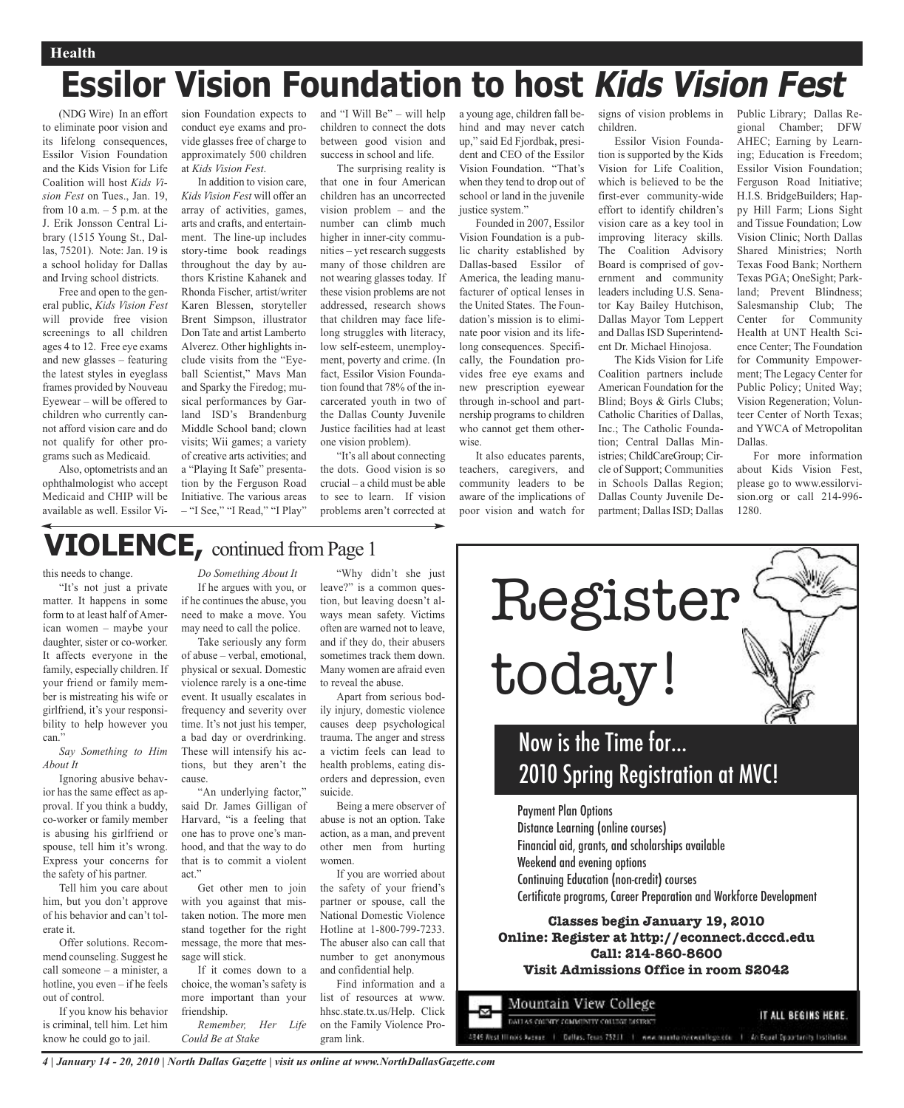#### **Health**

# **Essilor Vision Foundation to host Kids Vision Fest**

(NDG Wire) In an effort to eliminate poor vision and its lifelong consequences, Essilor Vision Foundation and the Kids Vision for Life Coalition will host *Kids Vision Fest* on Tues., Jan. 19, from 10 a.m.  $-5$  p.m. at the J. Erik Jonsson Central Library (1515 Young St., Dallas, 75201). Note: Jan. 19 is a school holiday for Dallas and Irving school districts.

Free and open to the general public, *Kids Vision Fest* will provide free vision screenings to all children ages 4 to 12. Free eye exams and new glasses – featuring the latest styles in eyeglass frames provided by Nouveau Eyewear – will be offered to children who currently cannot afford vision care and do not qualify for other programs such as Medicaid.

Also, optometrists and an ophthalmologist who accept Medicaid and CHIP will be available as well. Essilor Vision Foundation expects to conduct eye exams and provide glasses free of charge to approximately 500 children at *Kids Vision Fest*.

In addition to vision care, *Kids Vision Fest* will offer an array of activities, games, arts and crafts, and entertainment. The line-up includes story-time book readings throughout the day by authors Kristine Kahanek and Rhonda Fischer, artist/writer Karen Blessen, storyteller Brent Simpson, illustrator Don Tate and artist Lamberto Alverez. Other highlights include visits from the "Eyeball Scientist," Mavs Man and Sparky the Firedog; musical performances by Garland ISD's Brandenburg Middle School band; clown visits; Wii games; a variety of creative arts activities; and a "Playing It Safe" presentation by the Ferguson Road Initiative. The various areas – "I See," "I Read," "I Play"

and "I Will Be" – will help children to connect the dots between good vision and success in school and life.

The surprising reality is that one in four American children has an uncorrected vision problem – and the number can climb much higher in inner-city communities – yet research suggests many of those children are not wearing glasses today. If these vision problems are not addressed, research shows that children may face lifelong struggles with literacy, low self-esteem, unemployment, poverty and crime. (In fact, Essilor Vision Foundation found that 78% of the incarcerated youth in two of the Dallas County Juvenile Justice facilities had at least one vision problem).

"It's all about connecting the dots. Good vision is so crucial – a child must be able to see to learn. If vision problems aren't corrected at

a young age, children fall behind and may never catch up," said Ed Fjordbak, president and CEO of the Essilor Vision Foundation. "That's when they tend to drop out of school or land in the juvenile justice system."

Founded in 2007, Essilor Vision Foundation is a public charity established by Dallas-based Essilor of America, the leading manufacturer of optical lenses in the United States. The Foundation's mission is to eliminate poor vision and its lifelong consequences. Specifically, the Foundation provides free eye exams and new prescription eyewear through in-school and partnership programs to children who cannot get them otherwise.

It also educates parents, teachers, caregivers, and community leaders to be aware of the implications of poor vision and watch for

signs of vision problems in children.

Essilor Vision Foundation is supported by the Kids Vision for Life Coalition, which is believed to be the first-ever community-wide effort to identify children's vision care as a key tool in improving literacy skills. The Coalition Advisory Board is comprised of government and community leaders including U.S. Senator Kay Bailey Hutchison, Dallas Mayor Tom Leppert and Dallas ISD Superintendent Dr. Michael Hinojosa.

The Kids Vision for Life Coalition partners include American Foundation for the Blind; Boys & Girls Clubs; Catholic Charities of Dallas, Inc.; The Catholic Foundation; Central Dallas Ministries; ChildCareGroup; Circle of Support; Communities in Schools Dallas Region; Dallas County Juvenile Department; Dallas ISD; Dallas Public Library; Dallas Regional Chamber; DFW AHEC; Earning by Learning; Education is Freedom; Essilor Vision Foundation; Ferguson Road Initiative; H.I.S. BridgeBuilders; Happy Hill Farm; Lions Sight and Tissue Foundation; Low Vision Clinic; North Dallas Shared Ministries; North Texas Food Bank; Northern Texas PGA; OneSight; Parkland; Prevent Blindness; Salesmanship Club; The Center for Community Health at UNT Health Science Center; The Foundation for Community Empowerment; The Legacy Center for Public Policy; United Way; Vision Regeneration; Volunteer Center of North Texas; and YWCA of Metropolitan Dallas.

For more information about Kids Vision Fest, please go to www.essilorvision.org or call 214-996- 1280.

### **VIOLENCE,** continued fromPage <sup>1</sup>

#### this needs to change.

"It's not just a private matter. It happens in some form to at least half of American women – maybe your daughter, sister or co-worker. It affects everyone in the family, especially children. If your friend or family member is mistreating his wife or girlfriend, it's your responsibility to help however you can."

*Say Something to Him About It*

Ignoring abusive behavior has the same effect as approval. If you think a buddy, co-worker or family member is abusing his girlfriend or spouse, tell him it's wrong. Express your concerns for the safety of his partner.

Tell him you care about him, but you don't approve of his behavior and can't tolerate it.

Offer solutions. Recommend counseling. Suggest he call someone – a minister, a hotline, you even – if he feels out of control.

If you know his behavior is criminal, tell him. Let him know he could go to jail.

*Do Something About It* If he argues with you, or if he continues the abuse, you need to make a move. You may need to call the police.

Take seriously any form of abuse – verbal, emotional, physical or sexual. Domestic violence rarely is a one-time event. It usually escalates in frequency and severity over time. It's not just his temper, a bad day or overdrinking. These will intensify his actions, but they aren't the cause.

"An underlying factor," said Dr. James Gilligan of Harvard, "is a feeling that one has to prove one's manhood, and that the way to do that is to commit a violent act."

Get other men to join with you against that mistaken notion. The more men stand together for the right message, the more that message will stick.

If it comes down to a choice, the woman's safety is more important than your friendship.

*Remember, Her Life Could Be at Stake*

"Why didn't she just leave?" is a common question, but leaving doesn't always mean safety. Victims often are warned not to leave, and if they do, their abusers sometimes track them down. Many women are afraid even to reveal the abuse.

Apart from serious bodily injury, domestic violence causes deep psychological trauma. The anger and stress a victim feels can lead to health problems, eating disorders and depression, even suicide.

Being a mere observer of abuse is not an option. Take action, as a man, and prevent other men from hurting women.

If you are worried about the safety of your friend's partner or spouse, call the National Domestic Violence Hotline at 1-800-799-7233. The abuser also can call that number to get anonymous and confidential help.

Find information and a list of resources at www. hhsc.state.tx.us/Help. Click on the Family Violence Program link.



### Now is the Time for… 2010 Spring Registration at MVC!

Payment Plan Options Distance Learning (online courses) Financial aid, grants, and scholarships available

Weekend and evening options

Continuing Education (non-credit) courses

Certificate programs, Career Preparation and Workforce Development

#### **Classes begin January 19, 2010 Online: Register at http://econnect.dcccd.edu Call: 214-860-8600 Visit Admissions Office in room S2042**

Mountain View College IT ALL BEGINS HERE. DAIT AS COUNTY COMMUNITY COLLEGE DISTRICT 345 West Illinois Avenue | Dellas, Tenas 75211 | mmm munito minoventiege etc. | An Equal Opportunity Institution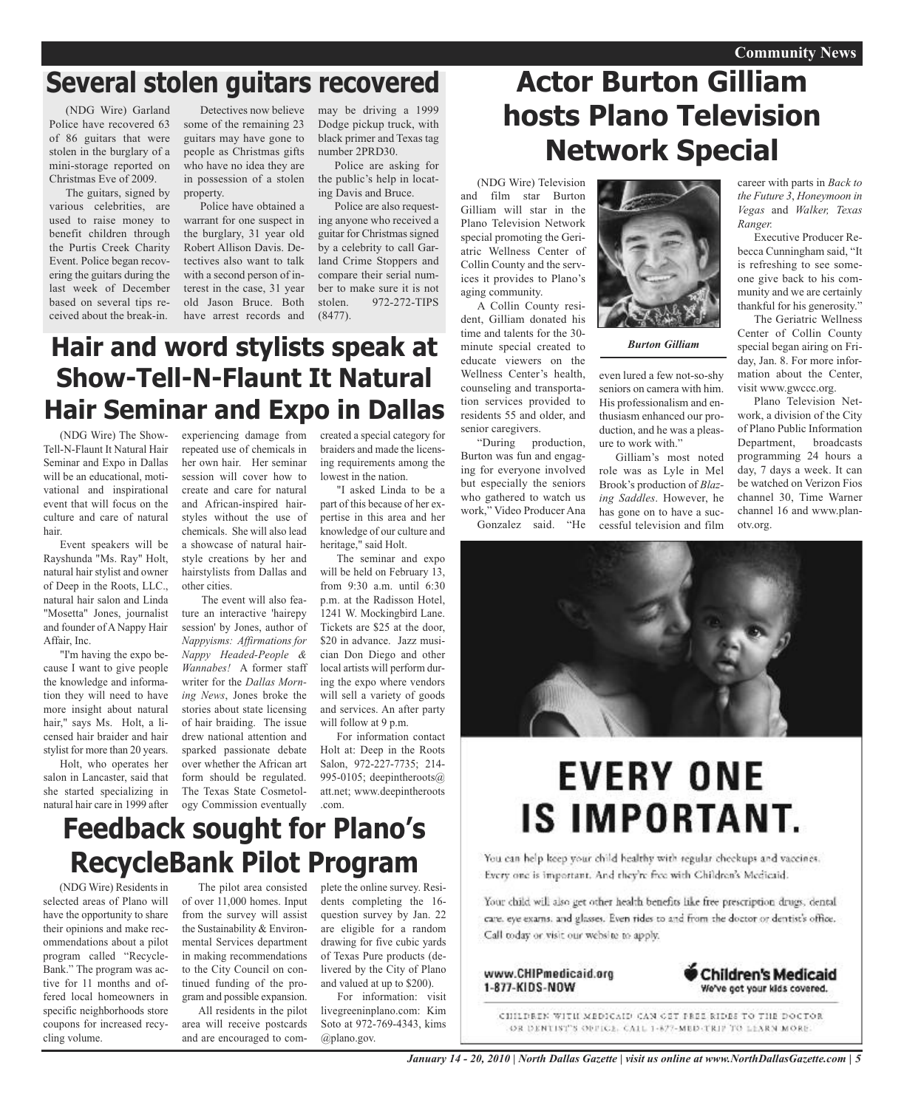### **Several stolen guitars recovered**

(NDG Wire) Garland Police have recovered 63 of 86 guitars that were stolen in the burglary of a mini-storage reported on Christmas Eve of 2009.

The guitars, signed by various celebrities, are used to raise money to benefit children through the Purtis Creek Charity Event. Police began recovering the guitars during the last week of December based on several tips received about the break-in.

Detectives now believe some of the remaining 23 guitars may have gone to people as Christmas gifts who have no idea they are in possession of a stolen property.

Police have obtained a warrant for one suspect in the burglary, 31 year old Robert Allison Davis. Detectives also want to talk with a second person of interest in the case, 31 year old Jason Bruce. Both have arrest records and

may be driving a 1999 Dodge pickup truck, with black primer and Texas tag number 2PRD30.

Police are asking for the public's help in locating Davis and Bruce.

Police are also requesting anyone who received a guitar for Christmas signed by a celebrity to call Garland Crime Stoppers and compare their serial number to make sure it is not stolen. 972-272-TIPS (8477).

### **Hair and word stylists speak at Show-Tell-N-Flaunt It Natural Hair Seminar and Expo in Dallas**

(NDG Wire) The Show-Tell-N-Flaunt It Natural Hair Seminar and Expo in Dallas will be an educational, motivational and inspirational event that will focus on the culture and care of natural hair.

Event speakers will be Rayshunda "Ms. Ray" Holt, natural hair stylist and owner of Deep in the Roots, LLC., natural hair salon and Linda "Mosetta" Jones, journalist and founder of A Nappy Hair Affair, Inc.

"I'm having the expo because I want to give people the knowledge and information they will need to have more insight about natural hair," says Ms. Holt, a licensed hair braider and hair stylist for more than 20 years.

Holt, who operates her salon in Lancaster, said that she started specializing in natural hair care in 1999 after experiencing damage from repeated use of chemicals in her own hair. Her seminar session will cover how to create and care for natural and African-inspired hairstyles without the use of chemicals. She will also lead a showcase of natural hairstyle creations by her and hairstylists from Dallas and other cities.

The event will also feature an interactive 'hairepy session' by Jones, author of *Nappyisms: Affirmations for Nappy Headed-People & Wannabes!* A former staff writer for the *Dallas Morning News*, Jones broke the stories about state licensing of hair braiding. The issue drew national attention and sparked passionate debate over whether the African art form should be regulated. The Texas State Cosmetology Commission eventually

created a special category for braiders and made the licensing requirements among the lowest in the nation.

"I asked Linda to be a part of this because of her expertise in this area and her knowledge of our culture and heritage," said Holt.

The seminar and expo will be held on February 13, from 9:30 a.m. until 6:30 p.m. at the Radisson Hotel, 1241 W. Mockingbird Lane. Tickets are \$25 at the door, \$20 in advance. Jazz musician Don Diego and other local artists will perform during the expo where vendors will sell a variety of goods and services. An after party will follow at 9 p.m.

For information contact Holt at: Deep in the Roots Salon, 972-227-7735; 214- 995-0105; deepintheroots@ att.net; www.deepintheroots .com.

### **Feedback sought for Plano's RecycleBank Pilot Program**

(NDG Wire) Residents in selected areas of Plano will have the opportunity to share their opinions and make recommendations about a pilot program called "Recycle-Bank." The program was active for 11 months and offered local homeowners in specific neighborhoods store coupons for increased recycling volume.

The pilot area consisted of over 11,000 homes. Input from the survey will assist the Sustainability & Environmental Services department in making recommendations to the City Council on continued funding of the program and possible expansion.

All residents in the pilot area will receive postcards and are encouraged to complete the online survey. Residents completing the 16 question survey by Jan. 22 are eligible for a random drawing for five cubic yards of Texas Pure products (delivered by the City of Plano and valued at up to \$200).

For information: visit livegreeninplano.com: Kim Soto at 972-769-4343, kims @plano.gov.

### **Actor Burton Gilliam hosts Plano Television Network Special**

(NDG Wire) Television and film star Burton Gilliam will star in the Plano Television Network special promoting the Geriatric Wellness Center of Collin County and the services it provides to Plano's aging community.

A Collin County resident, Gilliam donated his time and talents for the 30 minute special created to educate viewers on the Wellness Center's health, counseling and transportation services provided to residents 55 and older, and senior caregivers.

"During production, Burton was fun and engaging for everyone involved but especially the seniors who gathered to watch us work," Video Producer Ana

Gonzalez said. "He



*Burton Gilliam*

even lured a few not-so-shy seniors on camera with him. His professionalism and enthusiasm enhanced our production, and he was a pleasure to work with."

Gilliam's most noted role was as Lyle in Mel Brook's production of *Blazing Saddles*. However, he has gone on to have a successful television and film

career with parts in *Back to the Future 3*, *Honeymoon in Vegas* and *Walker, Texas Ranger.*

Executive Producer Rebecca Cunningham said, "It is refreshing to see someone give back to his community and we are certainly thankful for his generosity."

The Geriatric Wellness Center of Collin County special began airing on Friday, Jan. 8. For more information about the Center, visit www.gwccc.org.

Plano Television Network, a division of the City of Plano Public Information Department, broadcasts programming 24 hours a day, 7 days a week. It can be watched on Verizon Fios channel 30, Time Warner channel 16 and www.planotv.org.



# **EVERY ONE** IS IMPORTANT.

You can help keep your child healthy with regular checkups and vaccines. Every one is important. And they're free with Children's Medicaid.

Your child will also get other health benefits like free prescription drugs, dental care, eye exams, and glasses. Even rides to and from the doctor or dentist's office, Call today or visit our website to apply.





CHILDREN WITH MEDICAID CAN GET PREE RIDES TO THE DOCTOR OR DENTIST'S OPPICE, CALL 1-877-MED-TRIP TO LEARN MORE.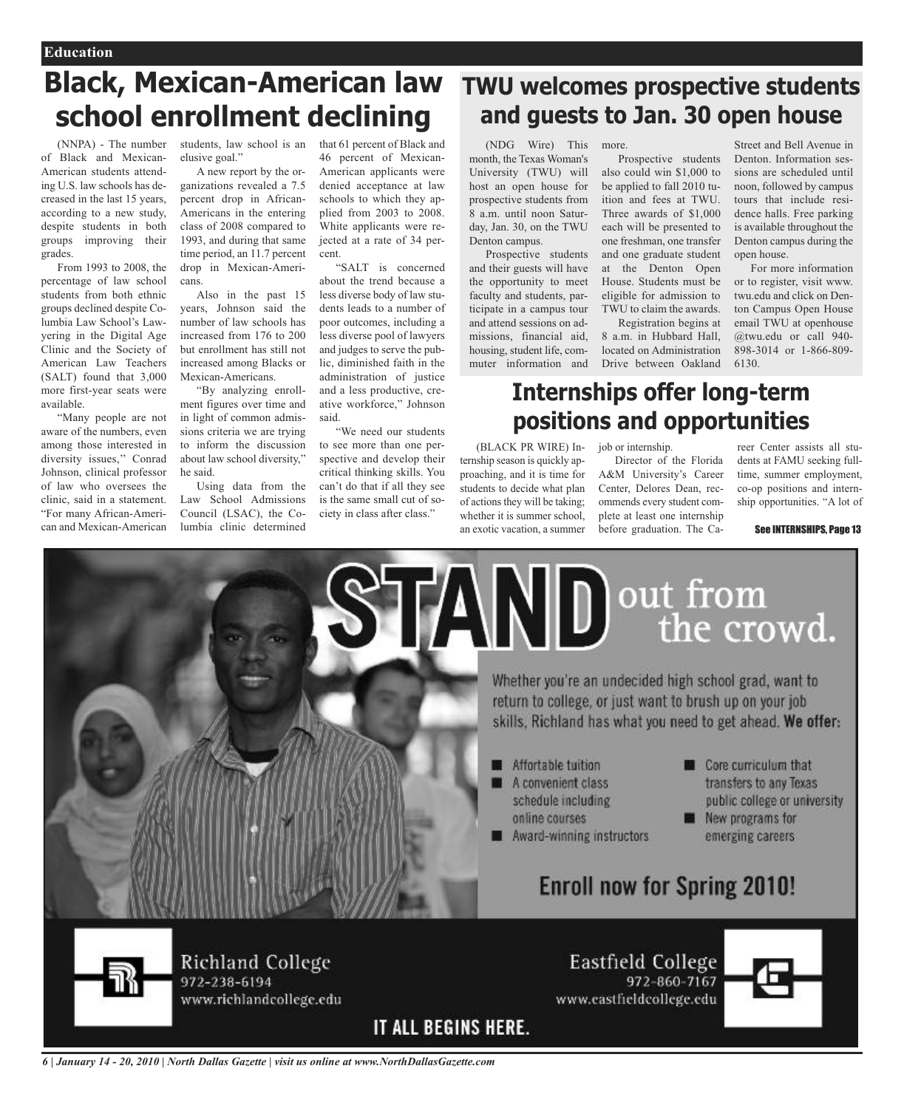## **Black, Mexican-American law school enrollment declining**

(NNPA) - The number of Black and Mexican-American students attending U.S. law schools has decreased in the last 15 years, according to a new study, despite students in both groups improving their grades.

From 1993 to 2008, the percentage of law school students from both ethnic groups declined despite Columbia Law School's Lawyering in the Digital Age Clinic and the Society of American Law Teachers (SALT) found that 3,000 more first-year seats were available.

"Many people are not aware of the numbers, even among those interested in diversity issues,'' Conrad Johnson, clinical professor of law who oversees the clinic, said in a statement. "For many African-American and Mexican-American

students, law school is an that 61 percent of Black and elusive goal."

A new report by the organizations revealed a 7.5 percent drop in African-Americans in the entering class of 2008 compared to 1993, and during that same time period, an 11.7 percent drop in Mexican-Americans.

Also in the past 15 years, Johnson said the number of law schools has increased from 176 to 200 but enrollment has still not increased among Blacks or Mexican-Americans.

"By analyzing enrollment figures over time and in light of common admissions criteria we are trying to inform the discussion about law school diversity," he said.

Using data from the Law School Admissions Council (LSAC), the Columbia clinic determined

46 percent of Mexican-American applicants were denied acceptance at law schools to which they applied from 2003 to 2008. White applicants were rejected at a rate of 34 percent.

"SALT is concerned about the trend because a less diverse body of law students leads to a number of poor outcomes, including a less diverse pool of lawyers and judges to serve the public, diminished faith in the administration of justice and a less productive, creative workforce," Johnson said.

"We need our students to see more than one perspective and develop their critical thinking skills. You can't do that if all they see is the same small cut of society in class after class."

### **TWU welcomes prospective students and guests to Jan. 30 open house**

(NDG Wire) This month, the Texas Woman's University (TWU) will host an open house for prospective students from 8 a.m. until noon Saturday, Jan. 30, on the TWU Denton campus.

Prospective students and their guests will have the opportunity to meet faculty and students, participate in a campus tour and attend sessions on admissions, financial aid, housing, student life, commuter information and

ternship season is quickly approaching, and it is time for students to decide what plan of actions they will be taking; whether it is summer school an exotic vacation, a summer

more. Prospective students also could win \$1,000 to be applied to fall 2010 tuition and fees at TWU. Three awards of \$1,000 each will be presented to one freshman, one transfer and one graduate student at the Denton Open House. Students must be eligible for admission to

TWU to claim the awards. Registration begins at 8 a.m. in Hubbard Hall, located on Administration Drive between Oakland

Street and Bell Avenue in Denton. Information sessions are scheduled until noon, followed by campus tours that include residence halls. Free parking is available throughout the Denton campus during the open house.

For more information or to register, visit www. twu.edu and click on Denton Campus Open House email TWU at openhouse @twu.edu or call 940- 898-3014 or 1-866-809- 6130.

### **Internships offer long-term positions and opportunities**

(BLACK PR WIRE) Injob or internship.

www.eastfieldcollege.edu

Director of the Florida A&M University's Career Center, Delores Dean, recommends every student complete at least one internship before graduation. The Ca-

reer Center assists all students at FAMU seeking fulltime, summer employment, co-op positions and internship opportunities. "A lot of

See INTERNSHIPS, Page 13



972-238-6194 www.richlandcollege.edu

IT ALL BEGINS HERE.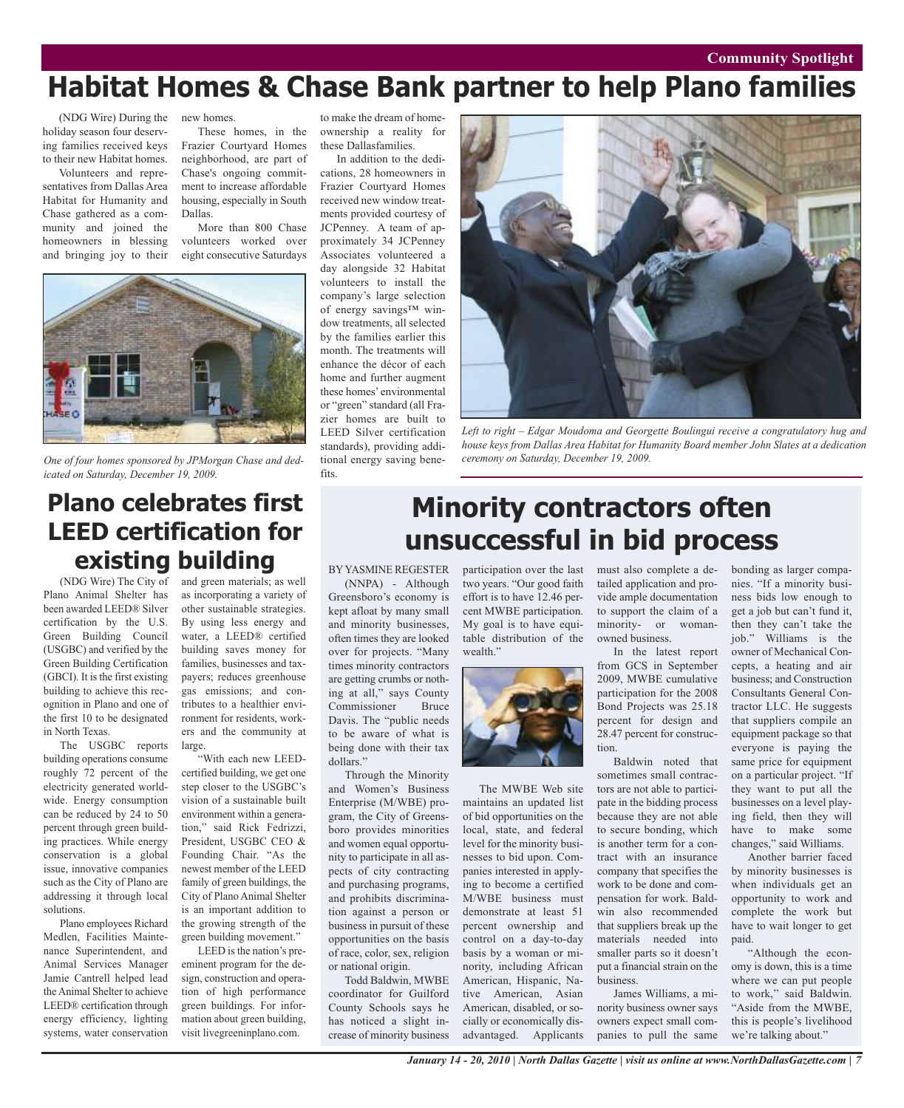#### **Arts & Entertainment Community Spotlight**

## **Habitat Homes & Chase Bank partner to help Plano families**

(NDG Wire) During the holiday season four deserving families received keys to their new Habitat homes.

Volunteers and representatives from Dallas Area Habitat for Humanity and Chase gathered as a community and joined the homeowners in blessing and bringing joy to their new homes.

These homes, in the Frazier Courtyard Homes neighborhood, are part of Chase's ongoing commitment to increase affordable housing, especially in South Dallas.

More than 800 Chase volunteers worked over eight consecutive Saturdays



*One of four homes sponsored by JPMorgan Chase and dedicated on Saturday, December 19, 2009.*

### **Plano celebrates first LEED certification for existing building**

(NDG Wire) The City of Plano Animal Shelter has been awarded LEED® Silver certification by the U.S. Green Building Council (USGBC) and verified by the Green Building Certification (GBCI). It is the first existing building to achieve this recognition in Plano and one of the first 10 to be designated in North Texas.

The USGBC reports building operations consume roughly 72 percent of the electricity generated worldwide. Energy consumption can be reduced by 24 to 50 percent through green building practices. While energy conservation is a global issue, innovative companies such as the City of Plano are addressing it through local solutions.

Plano employees Richard Medlen, Facilities Maintenance Superintendent, and Animal Services Manager Jamie Cantrell helped lead the Animal Shelter to achieve LEED® certification through energy efficiency, lighting systems, water conservation

and green materials; as well as incorporating a variety of other sustainable strategies. By using less energy and water, a LEED® certified building saves money for families, businesses and taxpayers; reduces greenhouse gas emissions; and contributes to a healthier environment for residents, workers and the community at large.

"With each new LEEDcertified building, we get one step closer to the USGBC's vision of a sustainable built environment within a generation," said Rick Fedrizzi, President, USGBC CEO & Founding Chair. "As the newest member of the LEED family of green buildings, the City of Plano Animal Shelter is an important addition to the growing strength of the green building movement."

LEED is the nation's preeminent program for the design, construction and operation of high performance green buildings. For information about green building, visit livegreeninplano.com.

to make the dream of homeownership a reality for these Dallasfamilies.

In addition to the dedications, 28 homeowners in Frazier Courtyard Homes received new window treatments provided courtesy of JCPenney. A team of approximately 34 JCPenney Associates volunteered a day alongside 32 Habitat volunteers to install the company's large selection of energy savings™ window treatments, all selected by the families earlier this month. The treatments will enhance the décor of each home and further augment these homes' environmental or "green" standard (all Frazier homes are built to LEED Silver certification standards), providing additional energy saving benefits.



*Left to right – Edgar Moudoma and Georgette Boulingui receive a congratulatory hug and house keys from Dallas Area Habitat for Humanity Board member John Slates at a dedication ceremony on Saturday, December 19, 2009.*

### **Minority contractors often unsuccessful in bid process**

BYYASMINE REGESTER

(NNPA) - Although Greensboro's economy is kept afloat by many small and minority businesses, often times they are looked over for projects. "Many times minority contractors are getting crumbs or nothing at all," says County Commissioner Bruce Davis. The "public needs to be aware of what is being done with their tax dollars."

Through the Minority and Women's Business Enterprise (M/WBE) program, the City of Greensboro provides minorities and women equal opportunity to participate in all aspects of city contracting and purchasing programs, and prohibits discrimination against a person or business in pursuit of these opportunities on the basis of race, color, sex, religion or national origin.

Todd Baldwin, MWBE coordinator for Guilford County Schools says he has noticed a slight increase of minority business participation over the last two years. "Our good faith effort is to have 12.46 percent MWBE participation. My goal is to have equitable distribution of the wealth."



The MWBE Web site maintains an updated list of bid opportunities on the local, state, and federal level for the minority businesses to bid upon. Companies interested in applying to become a certified M/WBE business must demonstrate at least 51 percent ownership and control on a day-to-day basis by a woman or minority, including African American, Hispanic, Native American, Asian American, disabled, or socially or economically disadvantaged. Applicants

must also complete a detailed application and provide ample documentation to support the claim of a minority- or womanowned business.

In the latest report from GCS in September 2009, MWBE cumulative participation for the 2008 Bond Projects was 25.18 percent for design and 28.47 percent for construction.

Baldwin noted that sometimes small contractors are not able to participate in the bidding process because they are not able to secure bonding, which is another term for a contract with an insurance company that specifies the work to be done and compensation for work. Baldwin also recommended that suppliers break up the materials needed into smaller parts so it doesn't put a financial strain on the business.

James Williams, a minority business owner says owners expect small companies to pull the same

bonding as larger companies. "If a minority business bids low enough to get a job but can't fund it, then they can't take the job." Williams is the owner of Mechanical Concepts, a heating and air business; and Construction Consultants General Contractor LLC. He suggests that suppliers compile an equipment package so that everyone is paying the same price for equipment on a particular project. "If they want to put all the businesses on a level playing field, then they will have to make some changes," said Williams.

Another barrier faced by minority businesses is when individuals get an opportunity to work and complete the work but have to wait longer to get paid.

"Although the economy is down, this is a time where we can put people to work," said Baldwin. "Aside from the MWBE, this is people's livelihood we're talking about."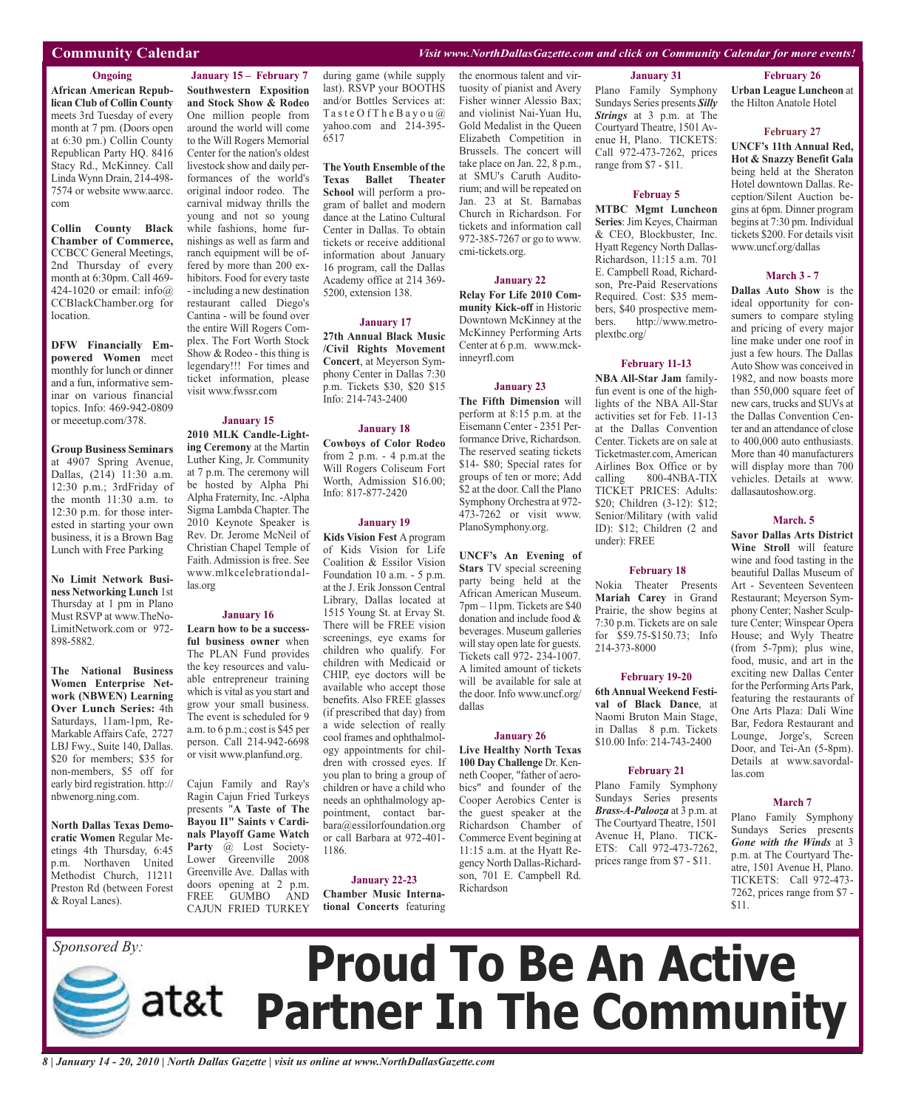#### **Community Calendar** *Visit www.NorthDallasGazette.com and click on Community Calendar for more events!*

#### **Ongoing**

**African American Republican Club of Collin County** meets 3rd Tuesday of every month at 7 pm. (Doors open at 6:30 pm.) Collin County Republican Party HQ. 8416 Stacy Rd., McKinney. Call Linda Wynn Drain, 214-498- 7574 or website www.aarcc. com

**Collin County Black Chamber of Commerce,** CCBCC General Meetings, 2nd Thursday of every month at 6:30pm. Call 469- 424-1020 or email: info@ CCBlackChamber.org for location.

**DFW Financially Empowered Women** meet monthly for lunch or dinner and a fun, informative seminar on various financial topics. Info: 469-942-0809 or meeetup.com/378.

**Group Business Seminars** at 4907 Spring Avenue, Dallas, (214) 11:30 a.m. 12:30 p.m.; 3rdFriday of the month 11:30 a.m. to 12:30 p.m. for those interested in starting your own business, it is a Brown Bag Lunch with Free Parking

**No Limit Network Business Networking Lunch** 1st Thursday at 1 pm in Plano Must RSVP at www.TheNo-LimitNetwork.com or 972- 898-5882.

**The National Business Women Enterprise Network (NBWEN) Learning Over Lunch Series:** 4th Saturdays, 11am-1pm, Re-MarkableAffairs Cafe, 2727 LBJ Fwy., Suite 140, Dallas. \$20 for members; \$35 for non-members, \$5 off for early bird registration. http:// nbwenorg.ning.com.

**North Dallas Texas Democratic Women** Regular Meetings 4th Thursday, 6:45 p.m. Northaven United Methodist Church, 11211 Preston Rd (between Forest & Royal Lanes).

**January 15 – February 7 Southwestern Exposition and Stock Show & Rodeo** One million people from around the world will come to the Will Rogers Memorial Center for the nation's oldest livestock show and daily performances of the world's original indoor rodeo. The carnival midway thrills the young and not so young while fashions, home furnishings as well as farm and ranch equipment will be offered by more than 200 exhibitors. Food for every taste - including a new destination restaurant called Diego's Cantina - will be found over the entire Will Rogers Complex. The Fort Worth Stock Show & Rodeo - this thing is legendary!!! For times and ticket information, please

#### **January 15**

visit www.fwssr.com

**2010 MLK Candle-Lighting Ceremony** at the Martin Luther King, Jr. Community at 7 p.m. The ceremony will be hosted by Alpha Phi Alpha Fraternity, Inc. -Alpha Sigma Lambda Chapter. The 2010 Keynote Speaker is Rev. Dr. Jerome McNeil of Christian Chapel Temple of Faith. Admission is free. See www.mlkcelebrationdallas.org

#### **January 16**

**Learn how to be a successful business owner** when The PLAN Fund provides the key resources and valuable entrepreneur training which is vital as you start and grow your small business. The event is scheduled for 9 a.m. to 6 p.m.; cost is \$45 per person. Call 214-942-6698 or visit www.planfund.org.

Cajun Family and Ray's Ragin Cajun Fried Turkeys presents "**A Taste of The Bayou II" Saints v Cardinals Playoff Game Watch Party** @ Lost Society-Lower Greenville 2008 Greenville Ave. Dallas with doors opening at 2 p.m. FREE GUMBO AND CAJUN FRIED TURKEY during game (while supply last). RSVP your BOOTHS and/or Bottles Services at: Taste Of The Bayou  $@$ yahoo.com and 214-395- 6517

**The Youth Ensemble of the Texas Ballet Theater School** will perform a program of ballet and modern dance at the Latino Cultural Center in Dallas. To obtain tickets or receive additional information about January 16 program, call the Dallas Academy office at 214 369- 5200, extension 138.

#### **January 17**

**27th Annual Black Music /Civil Rights Movement Concert**, at Meyerson Symphony Center in Dallas 7:30 p.m. Tickets \$30, \$20 \$15 Info: 214-743-2400

#### **January 18**

**Cowboys of Color Rodeo** from 2 p.m. - 4 p.m.at the Will Rogers Coliseum Fort Worth, Admission \$16.00; Info: 817-877-2420

#### **January 19**

**Kids Vision Fest** A program of Kids Vision for Life Coalition & Essilor Vision Foundation 10 a.m. - 5 p.m. at the J. Erik Jonsson Central Library, Dallas located at 1515 Young St. at Ervay St. There will be FREE vision screenings, eye exams for children who qualify. For children with Medicaid or CHIP, eye doctors will be available who accept those benefits. Also FREE glasses (if prescribed that day) from a wide selection of really cool frames and ophthalmology appointments for children with crossed eyes. If you plan to bring a group of children or have a child who needs an ophthalmology appointment, contact barbara@essilorfoundation.org or call Barbara at 972-401- 1186.

#### **January 22-23**

**Chamber Music International Concerts** featuring the enormous talent and virtuosity of pianist and Avery Fisher winner Alessio Bax; and violinist Nai-Yuan Hu, Gold Medalist in the Queen Elizabeth Competition in Brussels. The concert will take place on Jan. 22, 8 p.m., at SMU's Caruth Auditorium; and will be repeated on Jan. 23 at St. Barnabas Church in Richardson. For tickets and information call 972-385-7267 or go to www. cmi-tickets.org.

#### **January 22**

**Relay For Life 2010 Community Kick-off** in Historic Downtown McKinney at the McKinney Performing Arts Center at 6 p.m. www.mckinneyrfl.com

#### **January 23**

**The Fifth Dimension** will perform at 8:15 p.m. at the Eisemann Center - 2351 Performance Drive, Richardson. The reserved seating tickets \$14- \$80; Special rates for groups of ten or more; Add  $$2$  at the door. Call the Plano Symphony Orchestra at 972- 473-7262 or visit www. PlanoSymphony.org.

**UNCF's An Evening of Stars** TV special screening party being held at the African American Museum. 7pm – 11pm. Tickets are \$40 donation and include food & beverages. Museum galleries will stay open late for guests. Tickets call 972- 234-1007. A limited amount of tickets will be available for sale at the door. Info www.uncf.org/ dallas

#### **January 26**

**Live Healthy North Texas 100 Day Challenge** Dr. Kenneth Cooper, "father of aerobics" and founder of the Cooper Aerobics Center is the guest speaker at the Richardson Chamber of Commerce Event begining at 11:15 a.m. at the Hyatt Regency North Dallas-Richardson, 701 E. Campbell Rd. Richardson

#### **January 31**

Plano Family Symphony Sundays Series presents *Silly Strings* at 3 p.m. at The Courtyard Theatre, 1501 Avenue H, Plano. TICKETS: Call 972-473-7262, prices range from \$7 - \$11.

#### **Februay 5**

**MTBC Mgmt Luncheon Series**:Jim Keyes, Chairman & CEO, Blockbuster, Inc. Hyatt Regency North Dallas-Richardson, 11:15 a.m. 701 E. Campbell Road, Richardson, Pre-Paid Reservations Required. Cost: \$35 members, \$40 prospective members. http://www.metroplextbc.org/

#### **February 11-13**

**NBA All-Star Jam** familyfun event is one of the highlights of the NBA All-Star activities set for Feb. 11-13 at the Dallas Convention Center. Tickets are on sale at Ticketmaster.com,American Airlines Box Office or by calling 800-4NBA-TIX TICKET PRICES: Adults: \$20; Children (3-12): \$12; Senior/Military (with valid ID): \$12; Children (2 and under): FREE

#### **February 18**

Nokia Theater Presents **Mariah Carey** in Grand Prairie, the show begins at 7:30 p.m. Tickets are on sale for \$59.75-\$150.73; Info 214-373-8000

#### **February 19-20**

**6th Annual Weekend Festival of Black Dance**, at Naomi Bruton Main Stage, in Dallas 8 p.m. Tickets \$10.00 Info: 214-743-2400

#### **February 21**

Plano Family Symphony Sundays Series presents *Brass-A-Palooza* at 3 p.m. at The Courtyard Theatre, 1501 Avenue H, Plano. TICK-ETS: Call 972-473-7262, prices range from \$7 - \$11.

**February 26**

**Urban League Luncheon** at the Hilton Anatole Hotel

#### **February 27**

**UNCF's 11th Annual Red, Hot & Snazzy Benefit Gala** being held at the Sheraton Hotel downtown Dallas. Reception/Silent Auction begins at 6pm. Dinner program begins at 7:30 pm. Individual tickets \$200. For details visit www.uncf.org/dallas

#### **March 3 - 7**

**Dallas Auto Show** is the ideal opportunity for consumers to compare styling and pricing of every major line make under one roof in just a few hours. The Dallas Auto Show was conceived in 1982, and now boasts more than 550,000 square feet of new cars, trucks and SUVs at the Dallas Convention Center and an attendance of close to 400,000 auto enthusiasts. More than 40 manufacturers will display more than 700 vehicles. Details at www. dallasautoshow.org.

#### **March. 5**

**Savor Dallas Arts District Wine Stroll** will feature wine and food tasting in the beautiful Dallas Museum of Art - Seventeen Seventeen Restaurant; Meyerson Symphony Center; Nasher Sculpture Center; Winspear Opera House; and Wyly Theatre (from 5-7pm); plus wine, food, music, and art in the exciting new Dallas Center for the PerformingArts Park, featuring the restaurants of One Arts Plaza: Dali Wine Bar, Fedora Restaurant and Lounge, Jorge's, Screen Door, and Tei-An (5-8pm). Details at www.savordallas.com

#### **March 7**

Plano Family Symphony Sundays Series presents *Gone with the Winds* at 3 p.m. at The Courtyard Theatre, 1501 Avenue H, Plano. TICKETS: Call 972-473- 7262, prices range from \$7 - \$11.

# **Proud To Be An Active Partner In The Community** *Sponsored By:*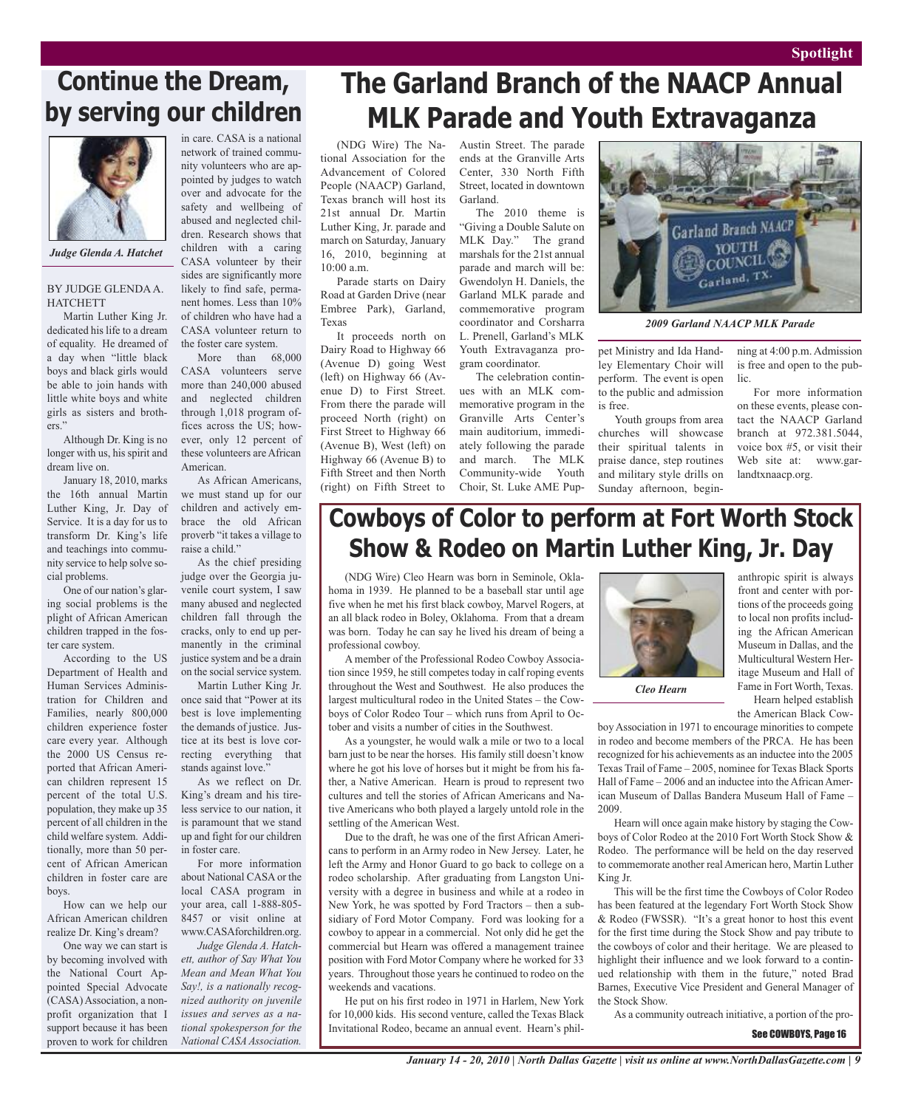### **Continue the Dream, by serving our children**



*Judge Glenda A. Hatchet*

BY JUDGE GLENDAA. **HATCHETT** 

Martin Luther King Jr. dedicated his life to a dream of equality. He dreamed of a day when "little black boys and black girls would be able to join hands with little white boys and white girls as sisters and brothers."

Although Dr. King is no longer with us, his spirit and dream live on.

January 18, 2010, marks the 16th annual Martin Luther King, Jr. Day of Service. It is a day for us to transform Dr. King's life and teachings into community service to help solve social problems.

One of our nation's glaring social problems is the plight of African American children trapped in the foster care system.

According to the US Department of Health and Human Services Administration for Children and Families, nearly 800,000 children experience foster care every year. Although the 2000 US Census reported that African American children represent 15 percent of the total U.S. population, they make up 35 percent of all children in the child welfare system. Additionally, more than 50 percent of African American children in foster care are boys.

How can we help our African American children realize Dr. King's dream?

One way we can start is by becoming involved with the National Court Appointed Special Advocate (CASA) Association, a nonprofit organization that I support because it has been proven to work for children

in care. CASA is a national network of trained community volunteers who are appointed by judges to watch over and advocate for the safety and wellbeing of abused and neglected children. Research shows that children with a caring CASA volunteer by their sides are significantly more likely to find safe, permanent homes. Less than 10% of children who have had a CASA volunteer return to

the foster care system. More than 68,000 CASA volunteers serve more than 240,000 abused and neglected children through 1,018 program offices across the US; however, only 12 percent of these volunteers are African American.

As African Americans, we must stand up for our children and actively embrace the old African proverb "it takes a village to raise a child."

As the chief presiding judge over the Georgia juvenile court system, I saw many abused and neglected children fall through the cracks, only to end up permanently in the criminal justice system and be a drain on the social service system.

Martin Luther King Jr. once said that "Power at its best is love implementing the demands of justice. Justice at its best is love correcting everything that stands against love."

As we reflect on Dr. King's dream and his tireless service to our nation, it is paramount that we stand up and fight for our children in foster care.

For more information about National CASA or the local CASA program in your area, call 1-888-805- 8457 or visit online at www.CASAforchildren.org.

*Judge Glenda A. Hatchett, author of Say What You Mean and Mean What You Say!, is a nationally recognized authority on juvenile issues and serves as a national spokesperson for the National CASA Association.*

### **The Garland Branch of the NAACP Annual MLK Parade and Youth Extravaganza**

(NDG Wire) The National Association for the Advancement of Colored People (NAACP) Garland, Texas branch will host its 21st annual Dr. Martin Luther King, Jr. parade and march on Saturday, January 16, 2010, beginning at 10:00 a.m.

Parade starts on Dairy Road at Garden Drive (near Embree Park), Garland, Texas

It proceeds north on Dairy Road to Highway 66 (Avenue D) going West (left) on Highway 66 (Avenue D) to First Street. From there the parade will proceed North (right) on First Street to Highway 66 (Avenue B), West (left) on Highway 66 (Avenue B) to Fifth Street and then North (right) on Fifth Street to

Austin Street. The parade ends at the Granville Arts Center, 330 North Fifth Street, located in downtown Garland.

The 2010 theme is "Giving a Double Salute on MLK Day." The grand marshals for the 21st annual parade and march will be: Gwendolyn H. Daniels, the Garland MLK parade and commemorative program coordinator and Corsharra L. Prenell, Garland's MLK Youth Extravaganza program coordinator.

The celebration continues with an MLK commemorative program in the Granville Arts Center's main auditorium, immediately following the parade and march. The MLK Community-wide Youth Choir, St. Luke AME Pup-



*2009 Garland NAACP MLK Parade*

pet Ministry and Ida Handley Elementary Choir will perform. The event is open to the public and admission is free.

Youth groups from area churches will showcase their spiritual talents in praise dance, step routines and military style drills on Sunday afternoon, begin-

ning at 4:00 p.m. Admission is free and open to the public.

For more information on these events, please contact the NAACP Garland branch at 972.381.5044, voice box #5, or visit their Web site at: www.garlandtxnaacp.org.

### **Cowboys of Color to perform at Fort Worth Stock Show & Rodeo on Martin Luther King, Jr. Day**

(NDG Wire) Cleo Hearn was born in Seminole, Oklahoma in 1939. He planned to be a baseball star until age five when he met his first black cowboy, Marvel Rogers, at an all black rodeo in Boley, Oklahoma. From that a dream was born. Today he can say he lived his dream of being a professional cowboy.

A member of the Professional Rodeo Cowboy Association since 1959, he still competes today in calf roping events throughout the West and Southwest. He also produces the largest multicultural rodeo in the United States – the Cowboys of Color Rodeo Tour – which runs from April to October and visits a number of cities in the Southwest.

As a youngster, he would walk a mile or two to a local barn just to be near the horses. His family still doesn't know where he got his love of horses but it might be from his father, a Native American. Hearn is proud to represent two cultures and tell the stories of African Americans and Native Americans who both played a largely untold role in the settling of the American West.

Due to the draft, he was one of the first African Americans to perform in an Army rodeo in New Jersey. Later, he left the Army and Honor Guard to go back to college on a rodeo scholarship. After graduating from Langston University with a degree in business and while at a rodeo in New York, he was spotted by Ford Tractors – then a subsidiary of Ford Motor Company. Ford was looking for a cowboy to appear in a commercial. Not only did he get the commercial but Hearn was offered a management trainee position with Ford Motor Company where he worked for 33 years. Throughout those years he continued to rodeo on the weekends and vacations.

He put on his first rodeo in 1971 in Harlem, New York for 10,000 kids. His second venture, called the Texas Black Invitational Rodeo, became an annual event. Hearn's phil-



anthropic spirit is always front and center with portions of the proceeds going to local non profits including the African American Museum in Dallas, and the Multicultural Western Heritage Museum and Hall of Fame in Fort Worth, Texas. Hearn helped establish

the American Black Cow-

boy Association in 1971 to encourage minorities to compete in rodeo and become members of the PRCA. He has been recognized for his achievements as an inductee into the 2005 Texas Trail of Fame – 2005, nominee for Texas Black Sports Hall of Fame – 2006 and an inductee into the African American Museum of Dallas Bandera Museum Hall of Fame – 2009.

Hearn will once again make history by staging the Cowboys of Color Rodeo at the 2010 Fort Worth Stock Show & Rodeo. The performance will be held on the day reserved to commemorate another real American hero, Martin Luther King Jr.

This will be the first time the Cowboys of Color Rodeo has been featured at the legendary Fort Worth Stock Show & Rodeo (FWSSR). "It's a great honor to host this event for the first time during the Stock Show and pay tribute to the cowboys of color and their heritage. We are pleased to highlight their influence and we look forward to a continued relationship with them in the future," noted Brad Barnes, Executive Vice President and General Manager of the Stock Show.

As a community outreach initiative, a portion of the pro-

See COWBOYS, Page 16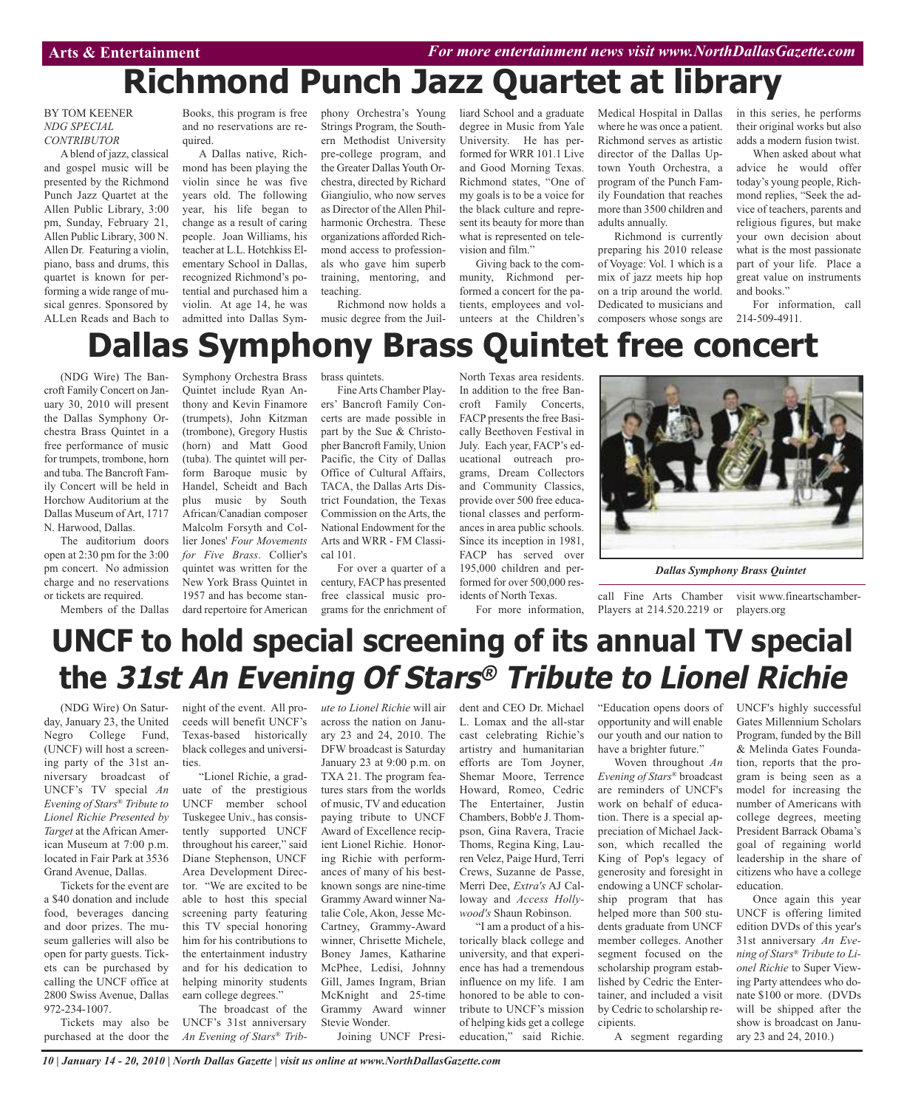# **Richmond Punch Jazz Quartet at library**

BY TOM KEENER *NDG SPECIAL CONTRIBUTOR*

A blend of jazz, classical and gospel music will be presented by the Richmond Punch Jazz Quartet at the Allen Public Library, 3:00 pm, Sunday, February 21, Allen Public Library, 300 N. Allen Dr. Featuring a violin, piano, bass and drums, this quartet is known for performing a wide range of musical genres. Sponsored by ALLen Reads and Bach to

Books, this program is free and no reservations are required.

A Dallas native, Richmond has been playing the violin since he was five years old. The following year, his life began to change as a result of caring people. Joan Williams, his teacher at L.L. Hotchkiss Elementary School in Dallas, recognized Richmond's potential and purchased him a violin. At age 14, he was admitted into Dallas Symphony Orchestra's Young Strings Program, the Southern Methodist University pre-college program, and the Greater Dallas Youth Orchestra, directed by Richard Giangiulio, who now serves as Director of the Allen Philharmonic Orchestra. These organizations afforded Richmond access to professionals who gave him superb training, mentoring, and teaching.

Richmond now holds a music degree from the Juilliard School and a graduate degree in Music from Yale University. He has performed for WRR 101.1 Live and Good Morning Texas. Richmond states, "One of my goals is to be a voice for the black culture and represent its beauty for more than what is represented on television and film."

Giving back to the community, Richmond performed a concert for the patients, employees and volunteers at the Children's Medical Hospital in Dallas where he was once a patient. Richmond serves as artistic director of the Dallas Uptown Youth Orchestra, a program of the Punch Family Foundation that reaches more than 3500 children and adults annually.

Richmond is currently preparing his 2010 release of Voyage: Vol. 1 which is a mix of jazz meets hip hop on a trip around the world. Dedicated to musicians and composers whose songs are in this series, he performs their original works but also adds a modern fusion twist.

When asked about what advice he would offer today's young people, Richmond replies, "Seek the advice of teachers, parents and religious figures, but make your own decision about what is the most passionate part of your life. Place a great value on instruments and books."

For information, call 214-509-4911.

# **Dallas Symphony Brass Quintet free concert**

(NDG Wire) The Bancroft Family Concert on January 30, 2010 will present the Dallas Symphony Orchestra Brass Quintet in a free performance of music for trumpets, trombone, horn and tuba. The Bancroft Family Concert will be held in Horchow Auditorium at the Dallas Museum of Art, 1717 N. Harwood, Dallas.

The auditorium doors open at 2:30 pm for the 3:00 pm concert. No admission charge and no reservations or tickets are required.

Members of the Dallas

Symphony Orchestra Brass Quintet include Ryan Anthony and Kevin Finamore (trumpets), John Kitzman (trombone), Gregory Hustis (horn) and Matt Good (tuba). The quintet will perform Baroque music by Handel, Scheidt and Bach plus music by South African/Canadian composer Malcolm Forsyth and Collier Jones' *Four Movements for Five Brass*. Collier's quintet was written for the New York Brass Quintet in 1957 and has become standard repertoire for American

brass quintets.

Fine Arts Chamber Players' Bancroft Family Concerts are made possible in part by the Sue & Christopher Bancroft Family, Union Pacific, the City of Dallas Office of Cultural Affairs, TACA, the Dallas Arts District Foundation, the Texas Commission on the Arts, the National Endowment for the Arts and WRR - FM Classical 101.

For over a quarter of a century, FACP has presented free classical music programs for the enrichment of

North Texas area residents. In addition to the free Bancroft Family Concerts, FACP presents the free Basically Beethoven Festival in July. Each year, FACP's educational outreach programs, Dream Collectors and Community Classics, provide over 500 free educational classes and performances in area public schools. Since its inception in 1981, FACP has served over 195,000 children and performed for over 500,000 residents of North Texas.

For more information,



*Dallas Symphony Brass Quintet*

call Fine Arts Chamber visit www.fineartschamber-Players at 214.520.2219 or players.org

> UNCF's highly successful Gates Millennium Scholars Program, funded by the Bill & Melinda Gates Foundation, reports that the program is being seen as a model for increasing the number of Americans with college degrees, meeting President Barrack Obama's goal of regaining world leadership in the share of citizens who have a college

# **UNCF to hold special screening of its annual TV special the 31st An Evening Of Stars® Tribute to Lionel Richie**

(NDG Wire) On Saturday, January 23, the United Negro College Fund, (UNCF) will host a screening party of the 31st anniversary broadcast of UNCF's TV special *An Evening of Stars® Tribute to Lionel Richie Presented by Target* at the African American Museum at 7:00 p.m. located in Fair Park at 3536 Grand Avenue, Dallas.

Tickets for the event are a \$40 donation and include food, beverages dancing and door prizes. The museum galleries will also be open for party guests. Tickets can be purchased by calling the UNCF office at 2800 Swiss Avenue, Dallas 972-234-1007.

Tickets may also be purchased at the door the night of the event. All proceeds will benefit UNCF's Texas-based historically black colleges and universities.

"Lionel Richie, a graduate of the prestigious UNCF member school Tuskegee Univ., has consistently supported UNCF throughout his career," said Diane Stephenson, UNCF Area Development Director. "We are excited to be able to host this special screening party featuring this TV special honoring him for his contributions to the entertainment industry and for his dedication to helping minority students earn college degrees."

The broadcast of the UNCF's 31st anniversary *An Evening of Stars® Trib-* *ute to Lionel Richie* will air across the nation on January 23 and 24, 2010. The DFW broadcast is Saturday January 23 at 9:00 p.m. on TXA 21. The program features stars from the worlds of music, TV and education paying tribute to UNCF Award of Excellence recipient Lionel Richie. Honoring Richie with performances of many of his bestknown songs are nine-time Grammy Award winner Natalie Cole, Akon, Jesse Mc-Cartney, Grammy-Award winner, Chrisette Michele, Boney James, Katharine McPhee, Ledisi, Johnny Gill, James Ingram, Brian McKnight and 25-time Grammy Award winner Stevie Wonder. Joining UNCF President and CEO Dr. Michael L. Lomax and the all-star cast celebrating Richie's artistry and humanitarian efforts are Tom Joyner, Shemar Moore, Terrence Howard, Romeo, Cedric The Entertainer, Justin Chambers, Bobb'e J. Thompson, Gina Ravera, Tracie Thoms, Regina King, Lauren Velez, Paige Hurd, Terri Crews, Suzanne de Passe, Merri Dee, *Extra's* AJ Calloway and *Access Hollywood's* Shaun Robinson.

"I am a product of a historically black college and university, and that experience has had a tremendous influence on my life. I am honored to be able to contribute to UNCF's mission of helping kids get a college education," said Richie.

"Education opens doors of opportunity and will enable our youth and our nation to have a brighter future."

Woven throughout *An Evening of Stars®* broadcast are reminders of UNCF's work on behalf of education. There is a special appreciation of Michael Jackson, which recalled the King of Pop's legacy of generosity and foresight in endowing a UNCF scholarship program that has helped more than 500 students graduate from UNCF member colleges. Another segment focused on the scholarship program established by Cedric the Entertainer, and included a visit by Cedric to scholarship recipients.

edition DVDs of this year's 31st anniversary *An Evening of Stars® Tribute to Lionel Richie* to Super Viewing Party attendees who donate \$100 or more. (DVDs will be shipped after the show is broadcast on January 23 and 24, 2010.)

Once again this year UNCF is offering limited

education.

A segment regarding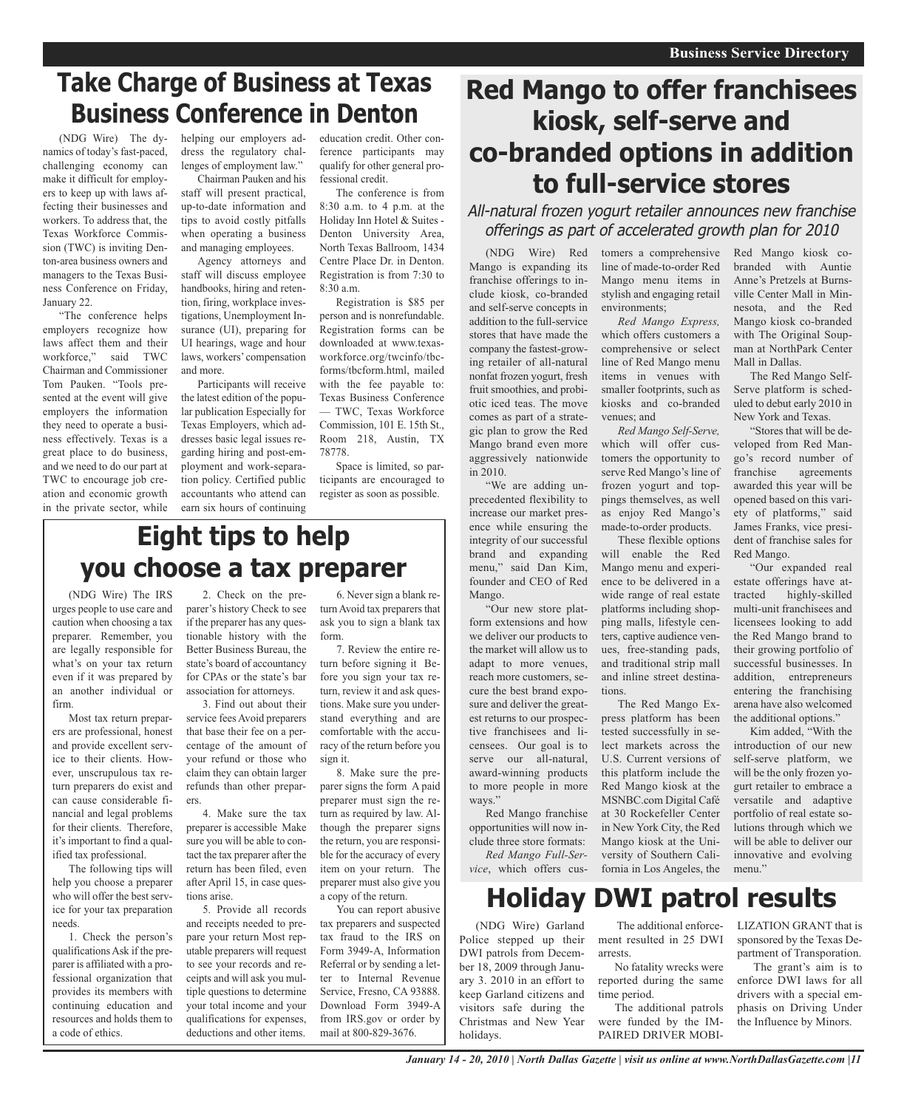### **Take Charge of Business at Texas Business Conference in Denton**

(NDG Wire) The dynamics of today's fast-paced, challenging economy can make it difficult for employers to keep up with laws affecting their businesses and workers. To address that, the Texas Workforce Commission (TWC) is inviting Denton-area business owners and managers to the Texas Business Conference on Friday, January 22.

"The conference helps employers recognize how laws affect them and their workforce," said TWC Chairman and Commissioner Tom Pauken. "Tools presented at the event will give employers the information they need to operate a business effectively. Texas is a great place to do business, and we need to do our part at TWC to encourage job creation and economic growth in the private sector, while helping our employers address the regulatory challenges of employment law."

Chairman Pauken and his staff will present practical, up-to-date information and tips to avoid costly pitfalls when operating a business and managing employees.

Agency attorneys and staff will discuss employee handbooks, hiring and retention, firing, workplace investigations, Unemployment Insurance (UI), preparing for UI hearings, wage and hour laws, workers' compensation and more.

Participants will receive the latest edition of the popular publication Especially for Texas Employers, which addresses basic legal issues regarding hiring and post-employment and work-separation policy. Certified public accountants who attend can earn six hours of continuing

education credit. Other conference participants may qualify for other general professional credit.

The conference is from 8:30 a.m. to 4 p.m. at the Holiday Inn Hotel & Suites - Denton University Area, North Texas Ballroom, 1434 Centre Place Dr. in Denton. Registration is from 7:30 to 8:30 a.m.

Registration is \$85 per person and is nonrefundable. Registration forms can be downloaded at www.texasworkforce.org/twcinfo/tbcforms/tbcform.html, mailed with the fee payable to: Texas Business Conference — TWC, Texas Workforce Commission, 101 E. 15th St., Room 218, Austin, TX 78778.

Space is limited, so participants are encouraged to register as soon as possible.

### **Eight tips to help you choose a tax preparer**

(NDG Wire) The IRS urges people to use care and caution when choosing a tax preparer. Remember, you are legally responsible for what's on your tax return even if it was prepared by an another individual or firm.

Most tax return preparers are professional, honest and provide excellent service to their clients. However, unscrupulous tax return preparers do exist and can cause considerable financial and legal problems for their clients. Therefore, it's important to find a qualified tax professional.

The following tips will help you choose a preparer who will offer the best service for your tax preparation needs.

1. Check the person's qualifications Ask if the preparer is affiliated with a professional organization that provides its members with continuing education and resources and holds them to a code of ethics.

2. Check on the preparer's history Check to see if the preparer has any questionable history with the Better Business Bureau, the state's board of accountancy for CPAs or the state's bar association for attorneys.

3. Find out about their service fees Avoid preparers that base their fee on a percentage of the amount of your refund or those who claim they can obtain larger refunds than other preparers

4. Make sure the tax preparer is accessible Make sure you will be able to contact the tax preparer after the return has been filed, even after April 15, in case questions arise.

5. Provide all records and receipts needed to prepare your return Most reputable preparers will request to see your records and receipts and will ask you multiple questions to determine your total income and your qualifications for expenses, deductions and other items.

6. Never sign a blank return Avoid tax preparers that ask you to sign a blank tax form.

7. Review the entire return before signing it Before you sign your tax return, review it and ask questions. Make sure you understand everything and are comfortable with the accuracy of the return before you sign it.

8. Make sure the preparer signs the form A paid preparer must sign the return as required by law. Although the preparer signs the return, you are responsible for the accuracy of every item on your return. The preparer must also give you a copy of the return.

You can report abusive tax preparers and suspected tax fraud to the IRS on Form 3949-A, Information Referral or by sending a letter to Internal Revenue Service, Fresno, CA 93888. Download Form 3949-A from IRS.gov or order by mail at 800-829-3676.

### **Red Mango to offer franchisees kiosk, self-serve and co-branded options in addition to full-service stores**

All-natural frozen yogurt retailer announces new franchise offerings as part of accelerated growth plan for 2010

> tomers a comprehensive line of made-to-order Red Mango menu items in stylish and engaging retail

> *Red Mango Express,* which offers customers a comprehensive or select line of Red Mango menu items in venues with smaller footprints, such as kiosks and co-branded

> *Red Mango Self-Serve,* which will offer customers the opportunity to serve Red Mango's line of frozen yogurt and toppings themselves, as well as enjoy Red Mango's made-to-order products. These flexible options will enable the Red Mango menu and experience to be delivered in a wide range of real estate platforms including shopping malls, lifestyle centers, captive audience venues, free-standing pads, and traditional strip mall and inline street destina-

environments;

venues; and

tions.

(NDG Wire) Red Mango is expanding its franchise offerings to include kiosk, co-branded and self-serve concepts in addition to the full-service stores that have made the company the fastest-growing retailer of all-natural nonfat frozen yogurt, fresh fruit smoothies, and probiotic iced teas. The move comes as part of a strategic plan to grow the Red Mango brand even more aggressively nationwide in 2010.

"We are adding unprecedented flexibility to increase our market presence while ensuring the integrity of our successful brand and expanding menu," said Dan Kim, founder and CEO of Red Mango.

"Our new store platform extensions and how we deliver our products to the market will allow us to adapt to more venues, reach more customers, secure the best brand exposure and deliver the greatest returns to our prospective franchisees and licensees. Our goal is to serve our all-natural, award-winning products to more people in more ways."

Red Mango franchise opportunities will now include three store formats:

*Red Mango Full-Service*, which offers cus-

DWI patrols from December 18, 2009 through January 3. 2010 in an effort to keep Garland citizens and visitors safe during the Christmas and New Year

Police stepped up their The additional enforcement resulted in 25 DWI arrests.

> No fatality wrecks were reported during the same time period.

The additional patrols were funded by the IM-

*January 14 - 20, 2010 | North Dallas Gazette | visit us online at www.NorthDallasGazette.com |11*

Red Mango kiosk cobranded with Auntie Anne's Pretzels at Burnsville Center Mall in Minnesota, and the Red Mango kiosk co-branded with The Original Soupman at NorthPark Center Mall in Dallas.

The Red Mango Self-Serve platform is scheduled to debut early 2010 in New York and Texas.

"Stores that will be developed from Red Mango's record number of franchise agreements awarded this year will be opened based on this variety of platforms," said James Franks, vice president of franchise sales for Red Mango.

"Our expanded real estate offerings have attracted highly-skilled multi-unit franchisees and licensees looking to add the Red Mango brand to their growing portfolio of successful businesses. In addition, entrepreneurs entering the franchising arena have also welcomed the additional options."

Kim added, "With the introduction of our new self-serve platform, we will be the only frozen yogurt retailer to embrace a versatile and adaptive portfolio of real estate solutions through which we will be able to deliver our innovative and evolving menu"

**Holiday DWI patrol results** (NDG Wire) Garland LIZATION GRANT that is

The Red Mango Express platform has been tested successfully in select markets across the U.S. Current versions of this platform include the Red Mango kiosk at the MSNBC.com Digital Café at 30 Rockefeller Center in New York City, the Red Mango kiosk at the University of Southern California in Los Angeles, the

> sponsored by the Texas Department of Transporation.

The grant's aim is to enforce DWI laws for all drivers with a special emphasis on Driving Under the Influence by Minors.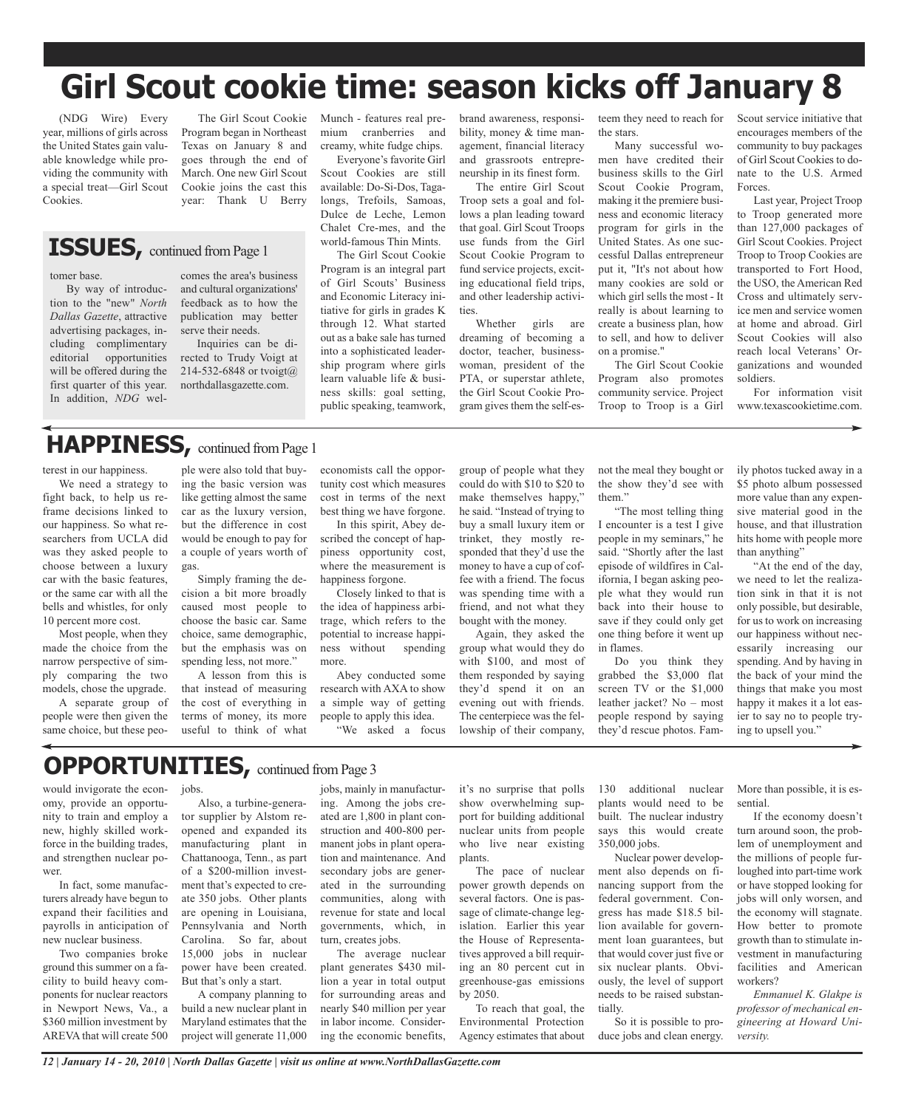# **Girl Scout cookie time: season kicks off January 8**

Munch - features real premium cranberries and creamy, white fudge chips. Everyone's favorite Girl Scout Cookies are still available: Do-Si-Dos, Tagalongs, Trefoils, Samoas, Dulce de Leche, Lemon Chalet Cre-mes, and the world-famous Thin Mints. The Girl Scout Cookie Program is an integral part of Girl Scouts' Business and Economic Literacy initiative for girls in grades K through 12. What started out as a bake sale has turned into a sophisticated leadership program where girls learn valuable life & business skills: goal setting, public speaking, teamwork,

(NDG Wire) Every year, millions of girls across the United States gain valuable knowledge while providing the community with a special treat—Girl Scout Cookies.

The Girl Scout Cookie Program began in Northeast Texas on January 8 and goes through the end of March. One new Girl Scout Cookie joins the cast this year: Thank U Berry

### **ISSUES**, continued from Page 1

#### tomer base.

tion to the "new" *North Dallas Gazette*, attractive advertising packages, including complimentary editorial opportunities will be offered during the first quarter of this year. In addition, *NDG* wel-

comes the area's business and cultural organizations' feedback as to how the publication may better serve their needs.

Inquiries can be directed to Trudy Voigt at 214-532-6848 or tvoigt@ northdallasgazette.com.

#### By way of introduc-

# **HAPPINESS**, continued from Page 1

terest in our happiness.

We need a strategy to fight back, to help us reframe decisions linked to our happiness. So what researchers from UCLA did was they asked people to choose between a luxury car with the basic features, or the same car with all the bells and whistles, for only 10 percent more cost.

Most people, when they made the choice from the narrow perspective of simply comparing the two models, chose the upgrade.

A separate group of people were then given the same choice, but these peo-

ple were also told that buying the basic version was like getting almost the same car as the luxury version, but the difference in cost would be enough to pay for a couple of years worth of gas.

Simply framing the decision a bit more broadly caused most people to choose the basic car. Same choice, same demographic, but the emphasis was on spending less, not more."

A lesson from this is that instead of measuring the cost of everything in terms of money, its more useful to think of what

economists call the opportunity cost which measures cost in terms of the next best thing we have forgone.

In this spirit, Abey described the concept of happiness opportunity cost, where the measurement is happiness forgone.

Closely linked to that is the idea of happiness arbitrage, which refers to the potential to increase happiness without spending more.

Abey conducted some research with AXA to show a simple way of getting people to apply this idea. "We asked a focus brand awareness, responsibility, money & time management, financial literacy and grassroots entrepreneurship in its finest form.

The entire Girl Scout Troop sets a goal and follows a plan leading toward that goal. Girl Scout Troops use funds from the Girl Scout Cookie Program to fund service projects, exciting educational field trips, and other leadership activities.

Whether girls are dreaming of becoming a doctor, teacher, businesswoman, president of the PTA, or superstar athlete, the Girl Scout Cookie Program gives them the self-es-

group of people what they could do with \$10 to \$20 to make themselves happy," he said. "Instead of trying to buy a small luxury item or trinket, they mostly responded that they'd use the money to have a cup of coffee with a friend. The focus was spending time with a friend, and not what they bought with the money. Again, they asked the group what would they do with \$100, and most of them responded by saying they'd spend it on an evening out with friends. The centerpiece was the fellowship of their company, teem they need to reach for the stars.

Many successful women have credited their business skills to the Girl Scout Cookie Program, making it the premiere business and economic literacy program for girls in the United States. As one successful Dallas entrepreneur put it, "It's not about how many cookies are sold or which girl sells the most - It really is about learning to create a business plan, how to sell, and how to deliver on a promise."

The Girl Scout Cookie Program also promotes community service. Project Troop to Troop is a Girl

Scout service initiative that encourages members of the community to buy packages of Girl Scout Cookies to donate to the U.S. Armed Forces.

Last year, Project Troop to Troop generated more than 127,000 packages of Girl Scout Cookies. Project Troop to Troop Cookies are transported to Fort Hood, the USO, the American Red Cross and ultimately service men and service women at home and abroad. Girl Scout Cookies will also reach local Veterans' Organizations and wounded soldiers.

For information visit www.texascookietime.com.

not the meal they bought or the show they'd see with them."

"The most telling thing I encounter is a test I give people in my seminars," he said. "Shortly after the last episode of wildfires in California, I began asking people what they would run back into their house to save if they could only get one thing before it went up in flames.

Do you think they grabbed the \$3,000 flat screen TV or the \$1,000 leather jacket? No – most people respond by saying they'd rescue photos. Family photos tucked away in a \$5 photo album possessed more value than any expensive material good in the house, and that illustration hits home with people more than anything"

"At the end of the day, we need to let the realization sink in that it is not only possible, but desirable, for us to work on increasing our happiness without necessarily increasing our spending. And by having in the back of your mind the things that make you most happy it makes it a lot easier to say no to people trying to upsell you."

### **OPPORTUNITIES**, continued from Page 3

jobs.

would invigorate the economy, provide an opportunity to train and employ a new, highly skilled workforce in the building trades, and strengthen nuclear power.

In fact, some manufacturers already have begun to expand their facilities and payrolls in anticipation of new nuclear business.

Two companies broke ground this summer on a facility to build heavy components for nuclear reactors in Newport News, Va., a \$360 million investment by AREVA that will create 500

Also, a turbine-generator supplier by Alstom reopened and expanded its manufacturing plant in Chattanooga, Tenn., as part of a \$200-million investment that's expected to create 350 jobs. Other plants are opening in Louisiana, Pennsylvania and North Carolina. So far, about 15,000 jobs in nuclear power have been created. But that's only a start.

A company planning to build a new nuclear plant in Maryland estimates that the project will generate 11,000 jobs, mainly in manufacturing. Among the jobs created are 1,800 in plant construction and 400-800 permanent jobs in plant operation and maintenance. And secondary jobs are generated in the surrounding communities, along with revenue for state and local governments, which, in turn, creates jobs.

The average nuclear plant generates \$430 million a year in total output for surrounding areas and nearly \$40 million per year in labor income. Considering the economic benefits,

it's no surprise that polls show overwhelming support for building additional nuclear units from people who live near existing plants.

The pace of nuclear power growth depends on several factors. One is passage of climate-change legislation. Earlier this year the House of Representatives approved a bill requiring an 80 percent cut in greenhouse-gas emissions by 2050.

To reach that goal, the Environmental Protection Agency estimates that about

130 additional nuclear plants would need to be built. The nuclear industry says this would create 350,000 jobs.

Nuclear power development also depends on financing support from the federal government. Congress has made \$18.5 billion available for government loan guarantees, but that would cover just five or six nuclear plants. Obviously, the level of support needs to be raised substantially.

So it is possible to produce jobs and clean energy. More than possible, it is essential.

If the economy doesn't turn around soon, the problem of unemployment and the millions of people furloughed into part-time work or have stopped looking for jobs will only worsen, and the economy will stagnate. How better to promote growth than to stimulate investment in manufacturing facilities and American workers?

*Emmanuel K. Glakpe is professor of mechanical engineering at Howard University.*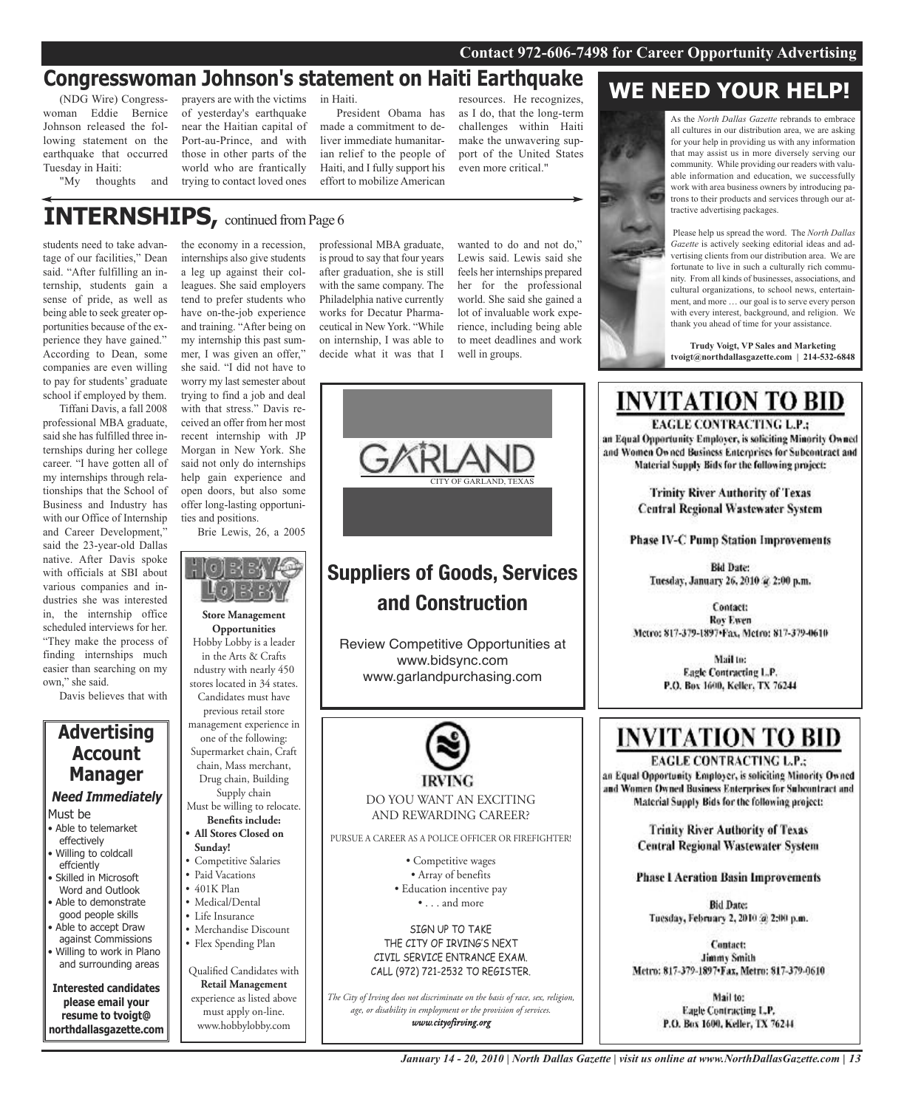### **Congresswoman Johnson's statement on Haiti Earthquake**

(NDG Wire) Congresswoman Eddie Bernice Johnson released the following statement on the earthquake that occurred Tuesday in Haiti:

"My thoughts and

prayers are with the victims in Haiti. of yesterday's earthquake near the Haitian capital of Port-au-Prince, and with those in other parts of the world who are frantically trying to contact loved ones

President Obama has made a commitment to deliver immediate humanitarian relief to the people of Haiti, and I fully support his effort to mobilize American

resources. He recognizes, as I do, that the long-term challenges within Haiti make the unwavering support of the United States even more critical."

**INTERNSHIPS, continued from Page 6** 

students need to take advantage of our facilities," Dean said. "After fulfilling an internship, students gain a sense of pride, as well as being able to seek greater opportunities because of the experience they have gained." According to Dean, some companies are even willing to pay for students' graduate school if employed by them.

Tiffani Davis, a fall 2008 professional MBA graduate, said she has fulfilled three internships during her college career. "I have gotten all of my internships through relationships that the School of Business and Industry has with our Office of Internship and Career Development," said the 23-year-old Dallas native. After Davis spoke with officials at SBI about various companies and industries she was interested in, the internship office scheduled interviews for her. "They make the process of finding internships much easier than searching on my own," she said.

Davis believes that with

### **Advertising Account Manager Need Immediately**

- Must be
- Able to telemarket effectively
- Willing to coldcall effciently • Skilled in Microsoft
- Word and Outlook • Able to demonstrate
- good people skills • Able to accept Draw
- against Commissions • Willing to work in Plano and surrounding areas

**Interested candidates please email your**

**resume to tvoigt@ northdallasgazette.com** the economy in a recession, internships also give students a leg up against their colleagues. She said employers tend to prefer students who have on-the-job experience and training. "After being on my internship this past summer, I was given an offer," she said. "I did not have to worry my last semester about trying to find a job and deal with that stress." Davis received an offer from her most recent internship with JP Morgan in New York. She said not only do internships help gain experience and open doors, but also some offer long-lasting opportuni-

ties and positions. Brie Lewis, 26, a 2005



**Opportunities** Hobby Lobby is a leader in the Arts & Crafts ndustry with nearly 450 stores located in 34 states. Candidates must have previous retail store management experience in one of the following: Supermarket chain, Craft chain, Mass merchant, Drug chain, Building Supply chain Must be willing to relocate. **Benefits include: • All Stores Closed on Sunday!** • Competitive Salaries • Paid Vacations • 401K Plan • Medical/Dental • Life Insurance • Merchandise Discount • Flex Spending Plan Qualified Candidates with **Retail Management** experience as listed above must apply on-line.

www.hobbylobby.com

professional MBA graduate, is proud to say that four years after graduation, she is still with the same company. The Philadelphia native currently works for Decatur Pharmaceutical in New York. "While on internship, I was able to decide what it was that I

wanted to do and not do," Lewis said. Lewis said she feels her internships prepared her for the professional world. She said she gained a lot of invaluable work experience, including being able to meet deadlines and work well in groups.



### **Suppliers of Goods, Services and Construction**

Review Competitive Opportunities at www.bidsync.com www.garlandpurchasing.com



PURSUE A CAREER AS A POLICE OFFICER OR FIREFIGHTER!

• Competitive wages • Array of benefits • Education incentive pay • . . . and more

SIGN UP TO TAKE THE CITY OF IRVING'S NEXT CIVIL SERVICE ENTRANCE EXAM. CALL (972) 721-2532 TO REGISTER.

*The City of Irving does not discriminate on the basis of race, sex, religion, age, or disability in employment or the provision of services. www.cityofirving.org*

### **WE NEED YOUR HELP!**

As the *North Dallas Gazette* rebrands to embrace all cultures in our distribution area, we are asking for your help in providing us with any information that may assist us in more diversely serving our community. While providing our readers with valuable information and education, we successfully work with area business owners by introducing patrons to their products and services through our attractive advertising packages.

Please help us spread the word. The *North Dallas Gazette* is actively seeking editorial ideas and advertising clients from our distribution area. We are fortunate to live in such a culturally rich community. From all kinds of businesses, associations, and cultural organizations, to school news, entertainment, and more … our goal is to serve every person with every interest, background, and religion. We thank you ahead of time for your assistance.

**Trudy Voigt, VP Sales and Marketing tvoigt@northdallasgazette.com | 214-532-6848**

**INVITATION TO BID** 

### EAGLE CONTRACTING L.P.: an Equal Opportunity Employer, is soliciting Minority Owned and Women Owned Business Enterprises for Subcontract and Material Supply Bids for the following project: **Trinity River Authority of Texas Central Regional Wastewater System Phase IV-C Pump Station Improvements Bid Date:** Tuesday, January 26, 2010 & 2:00 p.m. Contact: **Roy Ewen** Metro: 817-379-1897+Fax, Metro: 817-379-0610 Mail to: Eagle Contracting L.P. P.O. Box 1600, Keller, TX 76244 **INVITATION TO BID**

**EAGLE CONTRACTING L.P.:** an Equal Opportunity Employer, is soliciting Minority Owned and Women Owned Business Enterprises for Subcontract and Material Supply Bids for the following project:

> **Trinity River Authority of Texas Central Regional Wastewater System**

**Phase I Aeration Basin Improvements** 

**Bid Date:** Tuesday, February 2, 2010 @ 2:00 p.m.

Contact: **Jimmy Smith** Metro: 817-379-1897. Fax, Metro: 817-379-0610

> Mail to: Eagle Contracting L.P. P.O. Box 1600, Keller, TX 76244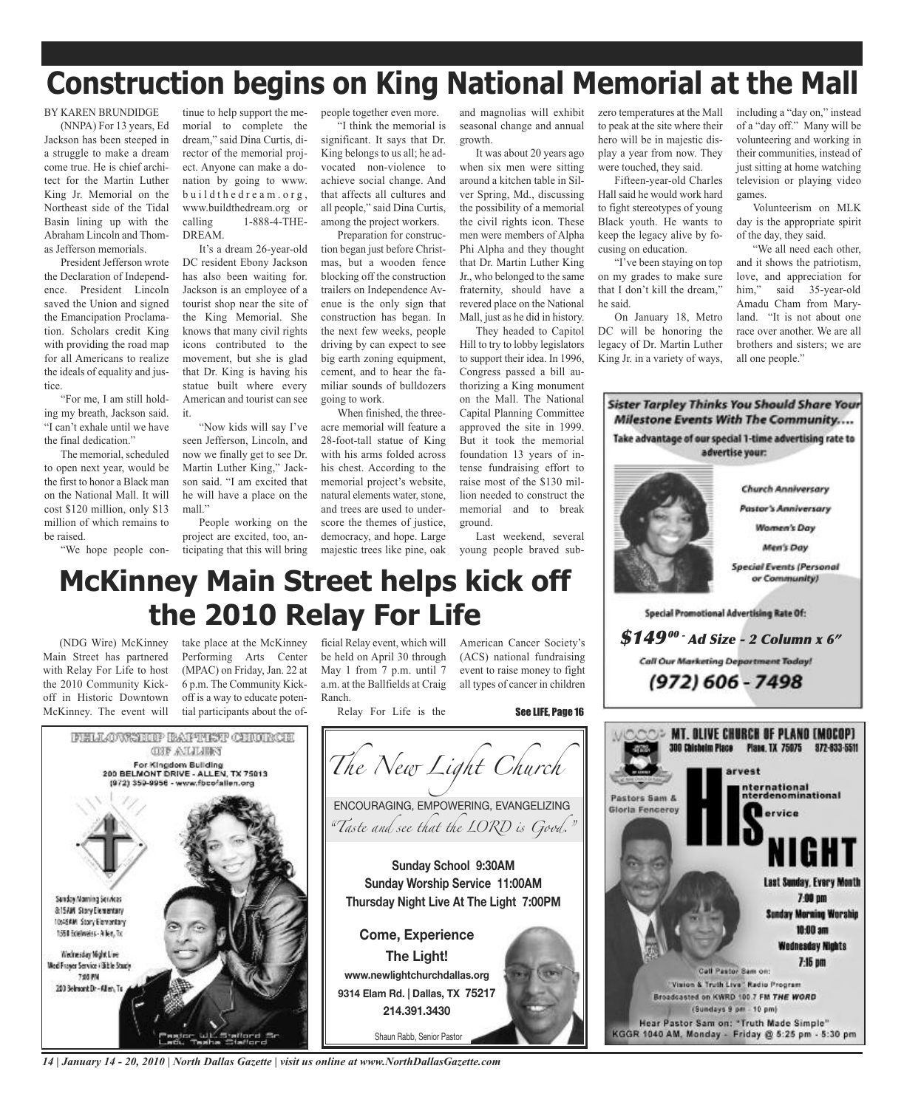# **Construction begins on King National Memorial at the Mall**

BY KAREN BRUNDIDGE

(NNPA) For 13 years, Ed Jackson has been steeped in a struggle to make a dream come true. He is chief architect for the Martin Luther King Jr. Memorial on the Northeast side of the Tidal Basin lining up with the Abraham Lincoln and Thomas Jefferson memorials.

President Jefferson wrote the Declaration of Independence. President Lincoln saved the Union and signed the Emancipation Proclamation. Scholars credit King with providing the road map for all Americans to realize the ideals of equality and justice.

"For me, I am still holding my breath, Jackson said. "I can't exhale until we have the final dedication."

The memorial, scheduled to open next year, would be the first to honor a Black man on the National Mall. It will cost \$120 million, only \$13 million of which remains to be raised.

tinue to help support the memorial to complete the dream," said Dina Curtis, director of the memorial project. Anyone can make a donation by going to www. b u i l d t h e d r e a m . o r g , www.buildthedream.org or calling 1-888-4-THE-DREAM.

It's a dream 26-year-old DC resident Ebony Jackson has also been waiting for. Jackson is an employee of a tourist shop near the site of the King Memorial. She knows that many civil rights icons contributed to the movement, but she is glad that Dr. King is having his statue built where every American and tourist can see it.

"Now kids will say I've seen Jefferson, Lincoln, and now we finally get to see Dr. Martin Luther King," Jackson said. "I am excited that he will have a place on the mall."

"We hope people con-ticipating that this will bring People working on the project are excited, too, anpeople together even more.

"I think the memorial is significant. It says that Dr. King belongs to us all; he advocated non-violence to achieve social change. And that affects all cultures and all people," said Dina Curtis, among the project workers.

Preparation for construction began just before Christmas, but a wooden fence blocking off the construction trailers on Independence Avenue is the only sign that construction has began. In the next few weeks, people driving by can expect to see big earth zoning equipment, cement, and to hear the familiar sounds of bulldozers going to work.

When finished, the threeacre memorial will feature a 28-foot-tall statue of King with his arms folded across his chest. According to the memorial project's website, natural elements water, stone, and trees are used to underscore the themes of justice, democracy, and hope. Large majestic trees like pine, oak

and magnolias will exhibit seasonal change and annual growth.

It was about 20 years ago when six men were sitting around a kitchen table in Silver Spring, Md., discussing the possibility of a memorial the civil rights icon. These men were members of Alpha Phi Alpha and they thought that Dr. Martin Luther King Jr., who belonged to the same fraternity, should have a revered place on the National Mall, just as he did in history.

They headed to Capitol Hill to try to lobby legislators to support their idea. In 1996, Congress passed a bill authorizing a King monument on the Mall. The National Capital Planning Committee approved the site in 1999. But it took the memorial foundation 13 years of intense fundraising effort to raise most of the \$130 million needed to construct the memorial and to break ground.

Last weekend, several young people braved subzero temperatures at the Mall to peak at the site where their hero will be in majestic display a year from now. They were touched, they said.

Fifteen-year-old Charles Hall said he would work hard to fight stereotypes of young Black youth. He wants to keep the legacy alive by focusing on education.

"I've been staying on top on my grades to make sure that I don't kill the dream," he said.

On January 18, Metro DC will be honoring the legacy of Dr. Martin Luther King Jr. in a variety of ways,

including a "day on," instead of a "day off." Many will be volunteering and working in their communities, instead of just sitting at home watching television or playing video games.

Volunteerism on MLK day is the appropriate spirit of the day, they said.

"We all need each other, and it shows the patriotism, love, and appreciation for him," said 35-year-old Amadu Cham from Maryland. "It is not about one race over another. We are all brothers and sisters; we are all one people."

**Sister Tarpley Thinks You Should Share Your Milestone Events With The Community....** Take advantage of our special 1-time advertising rate to advertise your:



### **McKinney Main Street helps kick off the 2010 Relay For Life**

(NDG Wire) McKinney Main Street has partnered with Relay For Life to host the 2010 Community Kickoff in Historic Downtown McKinney. The event will

take place at the McKinney Performing Arts Center (MPAC) on Friday, Jan. 22 at 6 p.m. The Community Kickoff is a way to educate potential participants about the of-

ficial Relay event, which will be held on April 30 through May 1 from 7 p.m. until 7 a.m. at the Ballfields at Craig Ranch.

Relay For Life is the

American Cancer Society's (ACS) national fundraising event to raise money to fight all types of cancer in children

**FELLOWSTOP BAFTIET CHORCH** *<b>ONE ANALISES The New Light Church* For Kingdom Building 200 BELMONT DRIVE - ALLEN, TX 75013 (972) 359-9956 - www.fbcofallen.org ENCOURAGING, EMPOWERING, EVANGELIZING *"Taste and see that the LORD is Good."* **Sunday School 9:30AM Sunday Worship Service 11:00AM** Sunday Morning Services **Thursday Night Live At The Light 7:00PM &ISAM SlovElenertary** 10:45 AM Story Elementary 1550 Edelweiss - Allen, Tx **Come, Experience** Wednesday Night Line **The Light!** Med Frager Service (Bible Study **www.newlightchurchdallas.org 7:05 PM** 200 Belmont Dr - Allen, To **9314 Elam Rd. | Dallas, TX 75217 214.391.3430** Shaun Rabb, Senior Pastor *14 | January 14 - 20, 2010 | North Dallas Gazette | visit us online at www.NorthDallasGazette.com*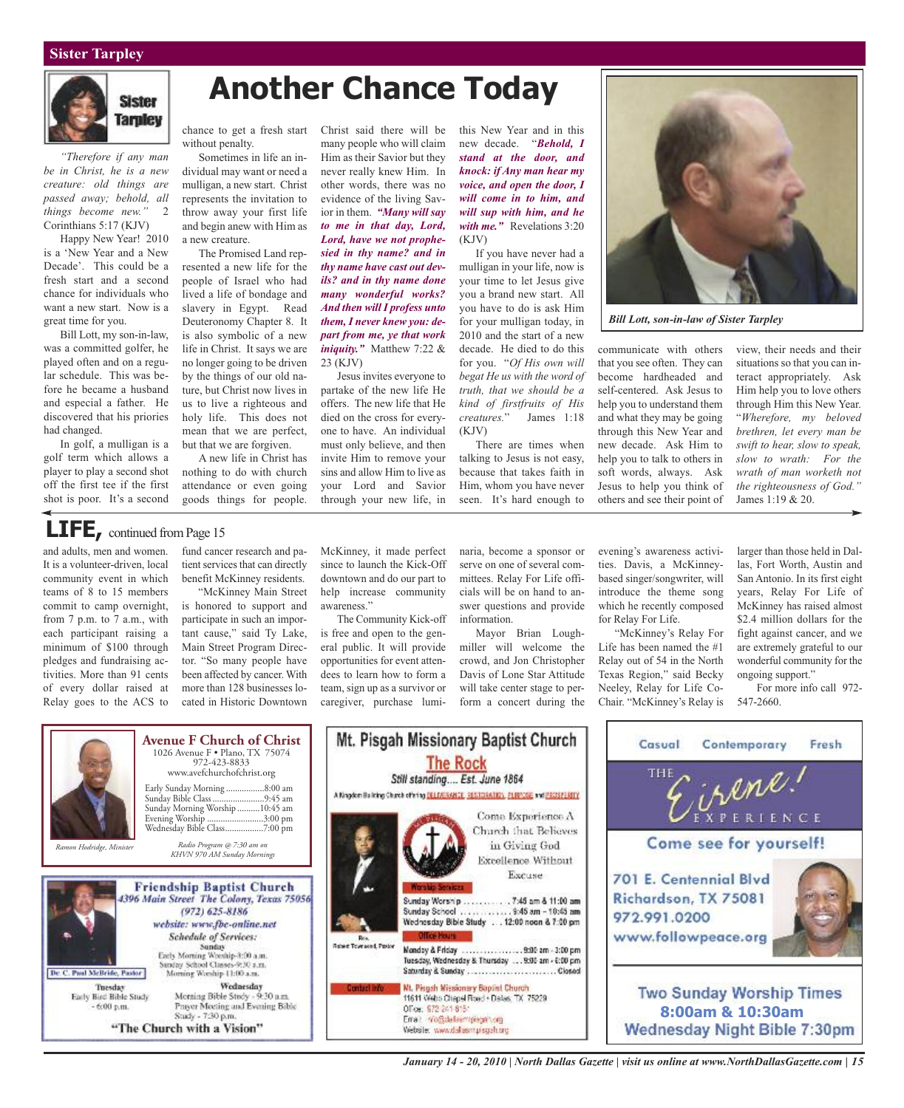#### **Sister Tarpley**



*"Therefore if any man be in Christ, he is a new creature: old things are passed away; behold, all things become new."* 2 Corinthians 5:17 (KJV)

Happy New Year! 2010 is a 'New Year and a New Decade'. This could be a fresh start and a second chance for individuals who want a new start. Now is a great time for you.

Bill Lott, my son-in-law, was a committed golfer, he played often and on a regular schedule. This was before he became a husband and especial a father. He discovered that his priories had changed.

In golf, a mulligan is a golf term which allows a player to play a second shot off the first tee if the first shot is poor. It's a second

## **Another Chance Today**

chance to get a fresh start without penalty.

Sometimes in life an individual may want or need a mulligan, a new start. Christ represents the invitation to throw away your first life and begin anew with Him as a new creature.

The Promised Land represented a new life for the people of Israel who had lived a life of bondage and slavery in Egypt. Read Deuteronomy Chapter 8. It is also symbolic of a new life in Christ. It says we are no longer going to be driven by the things of our old nature, but Christ now lives in us to live a righteous and holy life. This does not mean that we are perfect, but that we are forgiven.

A new life in Christ has nothing to do with church attendance or even going goods things for people. Christ said there will be many people who will claim Him as their Savior but they never really knew Him. In other words, there was no evidence of the living Savior in them. *"Many will say to me in that day, Lord, Lord, have we not prophesied in thy name? and in thy name have cast out devils? and in thy name done many wonderful works? And then will I profess unto them, I never knew you: depart from me, ye that work iniquity."* Matthew 7:22 & 23 (KJV)

Jesus invites everyone to partake of the new life He offers. The new life that He died on the cross for everyone to have. An individual must only believe, and then invite Him to remove your sins and allow Him to live as your Lord and Savior through your new life, in

this New Year and in this new decade. "*Behold, I stand at the door, and knock: if Any man hear my voice, and open the door, I will come in to him, and will sup with him, and he with me."* Revelations 3:20 (KJV)

If you have never had a mulligan in your life, now is your time to let Jesus give you a brand new start. All you have to do is ask Him for your mulligan today, in 2010 and the start of a new decade. He died to do this for you. "*Of His own will begat He us with the word of truth, that we should be a kind of firstfruits of His creatures.*" James 1:18  $(KJV)$ 

There are times when talking to Jesus is not easy, because that takes faith in Him, whom you have never seen. It's hard enough to



*Bill Lott, son-in-law of Sister Tarpley*

communicate with others that you see often. They can become hardheaded and self-centered. Ask Jesus to help you to understand them and what they may be going through this New Year and new decade. Ask Him to help you to talk to others in soft words, always. Ask Jesus to help you think of others and see their point of

view, their needs and their situations so that you can interact appropriately. Ask Him help you to love others through Him this New Year. "*Wherefore, my beloved brethren, let every man be swift to hear, slow to speak, slow to wrath: For the wrath of man worketh not the righteousness of God."* James 1:19 & 20.

### LIFE, continued from Page 15

and adults, men and women. It is a volunteer-driven, local community event in which teams of 8 to 15 members commit to camp overnight, from 7 p.m. to 7 a.m., with each participant raising a minimum of \$100 through pledges and fundraising activities. More than 91 cents of every dollar raised at Relay goes to the ACS to

fund cancer research and patient services that can directly benefit McKinney residents.

"McKinney Main Street is honored to support and participate in such an important cause," said Ty Lake, Main Street Program Director. "So many people have been affected by cancer. With more than 128 businesses located in Historic Downtown

McKinney, it made perfect since to launch the Kick-Off downtown and do our part to help increase community awareness."

The Community Kick-off is free and open to the general public. It will provide opportunities for event attendees to learn how to form a team, sign up as a survivor or caregiver, purchase luminaria, become a sponsor or serve on one of several committees. Relay For Life officials will be on hand to answer questions and provide information.

Mayor Brian Loughmiller will welcome the crowd, and Jon Christopher Davis of Lone Star Attitude will take center stage to perform a concert during the

evening's awareness activities. Davis, a McKinneybased singer/songwriter, will introduce the theme song which he recently composed for Relay For Life.

"McKinney's Relay For Life has been named the #1 Relay out of 54 in the North Texas Region," said Becky Neeley, Relay for Life Co-Chair. "McKinney's Relay is

larger than those held in Dallas, Fort Worth, Austin and San Antonio. In its first eight years, Relay For Life of McKinney has raised almost \$2.4 million dollars for the fight against cancer, and we are extremely grateful to our wonderful community for the ongoing support."

For more info call 972- 547-2660.